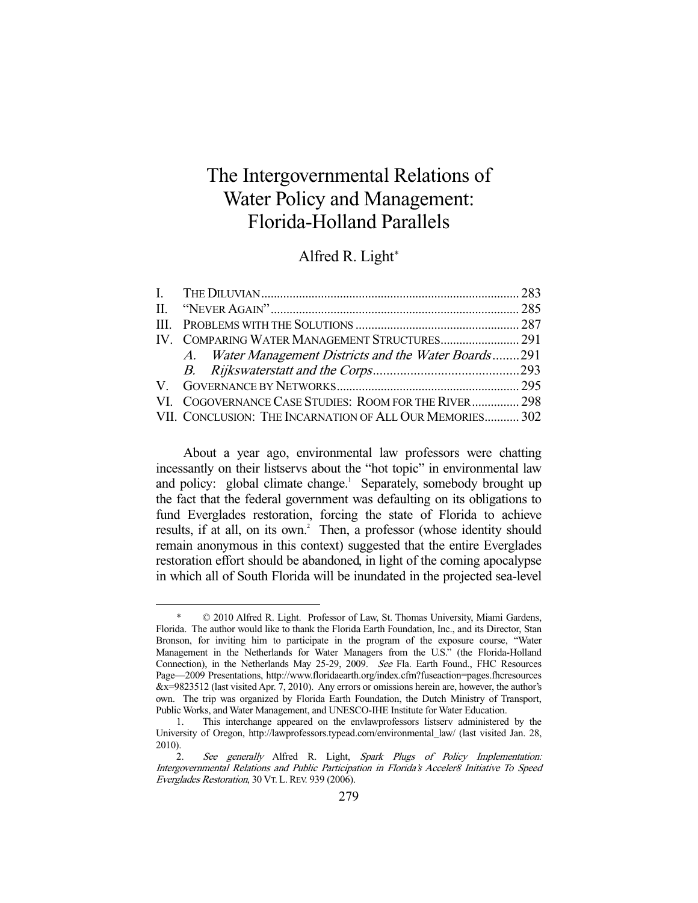# The Intergovernmental Relations of Water Policy and Management: Florida-Holland Parallels

# Alfred R. Light\*

| IV. COMPARING WATER MANAGEMENT STRUCTURES 291            |  |
|----------------------------------------------------------|--|
| A. Water Management Districts and the Water Boards291    |  |
|                                                          |  |
|                                                          |  |
| VI. COGOVERNANCE CASE STUDIES: ROOM FOR THE RIVER 298    |  |
| VII. CONCLUSION: THE INCARNATION OF ALL OUR MEMORIES 302 |  |

 About a year ago, environmental law professors were chatting incessantly on their listservs about the "hot topic" in environmental law and policy: global climate change.<sup>1</sup> Separately, somebody brought up the fact that the federal government was defaulting on its obligations to fund Everglades restoration, forcing the state of Florida to achieve results, if at all, on its own.<sup>2</sup> Then, a professor (whose identity should remain anonymous in this context) suggested that the entire Everglades restoration effort should be abandoned, in light of the coming apocalypse in which all of South Florida will be inundated in the projected sea-level

 <sup>\* © 2010</sup> Alfred R. Light. Professor of Law, St. Thomas University, Miami Gardens, Florida. The author would like to thank the Florida Earth Foundation, Inc., and its Director, Stan Bronson, for inviting him to participate in the program of the exposure course, "Water Management in the Netherlands for Water Managers from the U.S." (the Florida-Holland Connection), in the Netherlands May 25-29, 2009. See Fla. Earth Found., FHC Resources Page—2009 Presentations, http://www.floridaearth.org/index.cfm?fuseaction=pages.fhcresources &x=9823512 (last visited Apr. 7, 2010). Any errors or omissions herein are, however, the author's own. The trip was organized by Florida Earth Foundation, the Dutch Ministry of Transport, Public Works, and Water Management, and UNESCO-IHE Institute for Water Education.

 <sup>1.</sup> This interchange appeared on the envlawprofessors listserv administered by the University of Oregon, http://lawprofessors.typead.com/environmental\_law/ (last visited Jan. 28, 2010).

 <sup>2.</sup> See generally Alfred R. Light, Spark Plugs of Policy Implementation: Intergovernmental Relations and Public Participation in Florida's Acceler8 Initiative To Speed Everglades Restoration, 30 VT. L. REV. 939 (2006).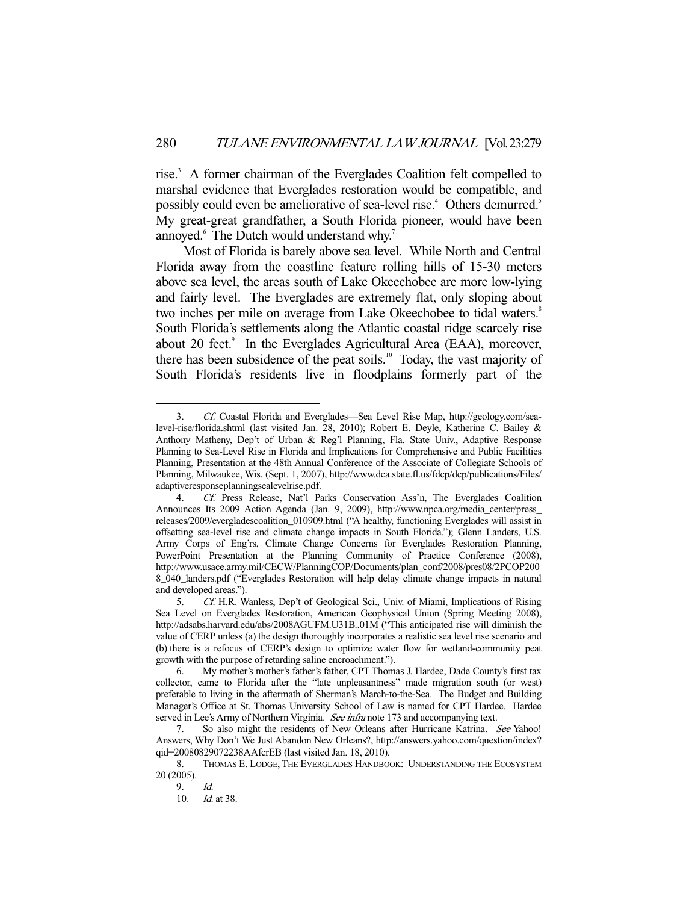rise.<sup>3</sup> A former chairman of the Everglades Coalition felt compelled to marshal evidence that Everglades restoration would be compatible, and possibly could even be ameliorative of sea-level rise.<sup>4</sup> Others demurred.<sup>5</sup> My great-great grandfather, a South Florida pioneer, would have been annoyed.<sup>6</sup> The Dutch would understand why.<sup>7</sup>

 Most of Florida is barely above sea level. While North and Central Florida away from the coastline feature rolling hills of 15-30 meters above sea level, the areas south of Lake Okeechobee are more low-lying and fairly level. The Everglades are extremely flat, only sloping about two inches per mile on average from Lake Okeechobee to tidal waters.<sup>8</sup> South Florida's settlements along the Atlantic coastal ridge scarcely rise about 20 feet.<sup>9</sup> In the Everglades Agricultural Area (EAA), moreover, there has been subsidence of the peat soils.<sup>10</sup> Today, the vast majority of South Florida's residents live in floodplains formerly part of the

 <sup>3.</sup> Cf. Coastal Florida and Everglades—Sea Level Rise Map, http://geology.com/sealevel-rise/florida.shtml (last visited Jan. 28, 2010); Robert E. Deyle, Katherine C. Bailey & Anthony Matheny, Dep't of Urban & Reg'l Planning, Fla. State Univ., Adaptive Response Planning to Sea-Level Rise in Florida and Implications for Comprehensive and Public Facilities Planning, Presentation at the 48th Annual Conference of the Associate of Collegiate Schools of Planning, Milwaukee, Wis. (Sept. 1, 2007), http://www.dca.state.fl.us/fdcp/dcp/publications/Files/ adaptiveresponseplanningsealevelrise.pdf.

 <sup>4.</sup> Cf. Press Release, Nat'l Parks Conservation Ass'n, The Everglades Coalition Announces Its 2009 Action Agenda (Jan. 9, 2009), http://www.npca.org/media\_center/press\_ releases/2009/evergladescoalition\_010909.html ("A healthy, functioning Everglades will assist in offsetting sea-level rise and climate change impacts in South Florida."); Glenn Landers, U.S. Army Corps of Eng'rs, Climate Change Concerns for Everglades Restoration Planning, PowerPoint Presentation at the Planning Community of Practice Conference (2008), http://www.usace.army.mil/CECW/PlanningCOP/Documents/plan\_conf/2008/pres08/2PCOP200 8\_040\_landers.pdf ("Everglades Restoration will help delay climate change impacts in natural and developed areas.").

 <sup>5.</sup> Cf. H.R. Wanless, Dep't of Geological Sci., Univ. of Miami, Implications of Rising Sea Level on Everglades Restoration, American Geophysical Union (Spring Meeting 2008), http://adsabs.harvard.edu/abs/2008AGUFM.U31B..01M ("This anticipated rise will diminish the value of CERP unless (a) the design thoroughly incorporates a realistic sea level rise scenario and (b) there is a refocus of CERP's design to optimize water flow for wetland-community peat growth with the purpose of retarding saline encroachment.").

 <sup>6.</sup> My mother's mother's father's father, CPT Thomas J. Hardee, Dade County's first tax collector, came to Florida after the "late unpleasantness" made migration south (or west) preferable to living in the aftermath of Sherman's March-to-the-Sea. The Budget and Building Manager's Office at St. Thomas University School of Law is named for CPT Hardee. Hardee served in Lee's Army of Northern Virginia. See infra note 173 and accompanying text.

<sup>7.</sup> So also might the residents of New Orleans after Hurricane Katrina. See Yahoo! Answers, Why Don't We Just Abandon New Orleans?, http://answers.yahoo.com/question/index? qid=20080829072238AAfcrEB (last visited Jan. 18, 2010).

 <sup>8.</sup> THOMAS E. LODGE, THE EVERGLADES HANDBOOK: UNDERSTANDING THE ECOSYSTEM 20 (2005).

 <sup>9.</sup> Id.

<sup>10.</sup> *Id.* at 38.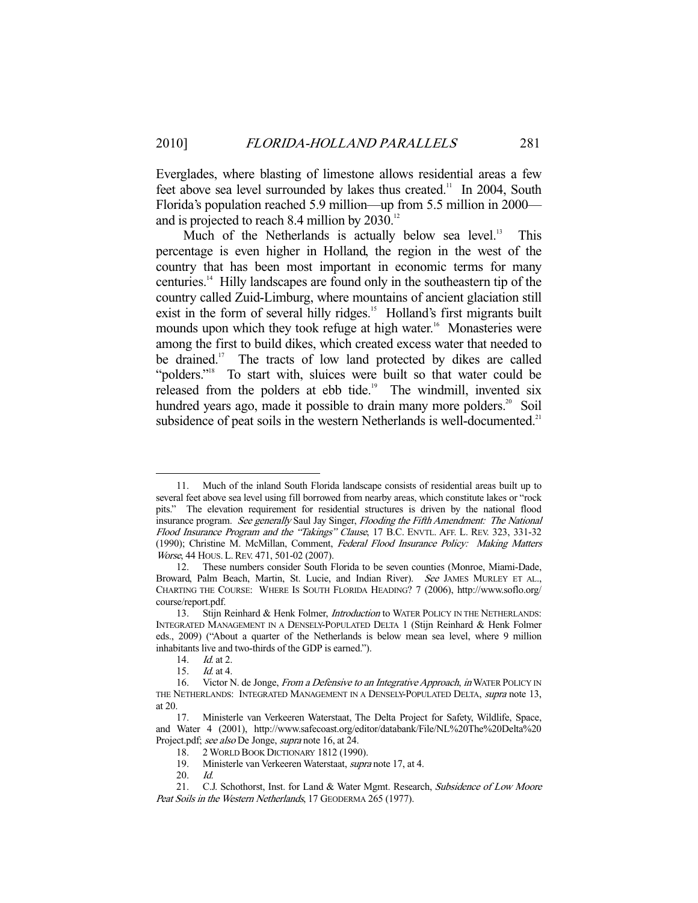Everglades, where blasting of limestone allows residential areas a few feet above sea level surrounded by lakes thus created.<sup>11</sup> In 2004, South Florida's population reached 5.9 million—up from 5.5 million in 2000 and is projected to reach 8.4 million by 2030.<sup>12</sup>

Much of the Netherlands is actually below sea level.<sup>13</sup> This percentage is even higher in Holland, the region in the west of the country that has been most important in economic terms for many centuries.14 Hilly landscapes are found only in the southeastern tip of the country called Zuid-Limburg, where mountains of ancient glaciation still exist in the form of several hilly ridges.<sup>15</sup> Holland's first migrants built mounds upon which they took refuge at high water.<sup>16</sup> Monasteries were among the first to build dikes, which created excess water that needed to be drained.<sup>17</sup> The tracts of low land protected by dikes are called "polders."18 To start with, sluices were built so that water could be released from the polders at ebb tide.<sup>19</sup> The windmill, invented six hundred years ago, made it possible to drain many more polders.<sup>20</sup> Soil subsidence of peat soils in the western Netherlands is well-documented.<sup>21</sup>

 <sup>11.</sup> Much of the inland South Florida landscape consists of residential areas built up to several feet above sea level using fill borrowed from nearby areas, which constitute lakes or "rock pits." The elevation requirement for residential structures is driven by the national flood insurance program. See generally Saul Jay Singer, Flooding the Fifth Amendment: The National Flood Insurance Program and the "Takings" Clause, 17 B.C. ENVTL. AFF. L. REV. 323, 331-32 (1990); Christine M. McMillan, Comment, Federal Flood Insurance Policy: Making Matters Worse, 44 HOUS. L.REV. 471, 501-02 (2007).

 <sup>12.</sup> These numbers consider South Florida to be seven counties (Monroe, Miami-Dade, Broward, Palm Beach, Martin, St. Lucie, and Indian River). See JAMES MURLEY ET AL., CHARTING THE COURSE: WHERE IS SOUTH FLORIDA HEADING? 7 (2006), http://www.soflo.org/ course/report.pdf.

<sup>13.</sup> Stijn Reinhard & Henk Folmer, Introduction to WATER POLICY IN THE NETHERLANDS: INTEGRATED MANAGEMENT IN A DENSELY-POPULATED DELTA 1 (Stijn Reinhard & Henk Folmer eds., 2009) ("About a quarter of the Netherlands is below mean sea level, where 9 million inhabitants live and two-thirds of the GDP is earned.").

 <sup>14.</sup> Id. at 2.

 <sup>15.</sup> Id. at 4.

<sup>16.</sup> Victor N. de Jonge, From a Defensive to an Integrative Approach, in WATER POLICY IN THE NETHERLANDS: INTEGRATED MANAGEMENT IN A DENSELY-POPULATED DELTA, supra note 13, at 20.

 <sup>17.</sup> Ministerle van Verkeeren Waterstaat, The Delta Project for Safety, Wildlife, Space, and Water 4 (2001), http://www.safecoast.org/editor/databank/File/NL%20The%20Delta%20 Project.pdf; see also De Jonge, supra note 16, at 24.

<sup>18. 2</sup> WORLD BOOK DICTIONARY 1812 (1990).<br>19. Ministerle van Verkeeren Waterstaat. *sunn* 

Ministerle van Verkeeren Waterstaat, supra note 17, at 4.

 <sup>20.</sup> Id.

<sup>21.</sup> C.J. Schothorst, Inst. for Land & Water Mgmt. Research, Subsidence of Low Moore Peat Soils in the Western Netherlands, 17 GEODERMA 265 (1977).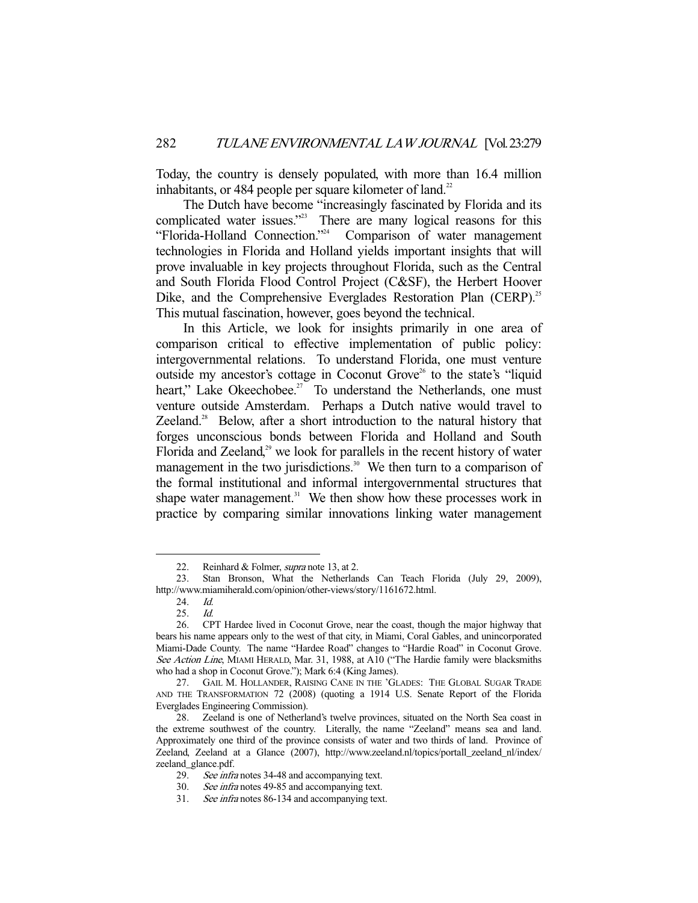Today, the country is densely populated, with more than 16.4 million inhabitants, or 484 people per square kilometer of land.<sup>22</sup>

 The Dutch have become "increasingly fascinated by Florida and its complicated water issues."<sup>23</sup> There are many logical reasons for this "Florida-Holland Connection."24 Comparison of water management technologies in Florida and Holland yields important insights that will prove invaluable in key projects throughout Florida, such as the Central and South Florida Flood Control Project (C&SF), the Herbert Hoover Dike, and the Comprehensive Everglades Restoration Plan (CERP).<sup>25</sup> This mutual fascination, however, goes beyond the technical.

 In this Article, we look for insights primarily in one area of comparison critical to effective implementation of public policy: intergovernmental relations. To understand Florida, one must venture outside my ancestor's cottage in Coconut Grove<sup>26</sup> to the state's "liquid heart," Lake Okeechobee.<sup>27</sup> To understand the Netherlands, one must venture outside Amsterdam. Perhaps a Dutch native would travel to Zeeland.<sup>28</sup> Below, after a short introduction to the natural history that forges unconscious bonds between Florida and Holland and South Florida and Zeeland,<sup>29</sup> we look for parallels in the recent history of water management in the two jurisdictions.<sup>30</sup> We then turn to a comparison of the formal institutional and informal intergovernmental structures that shape water management.<sup>31</sup> We then show how these processes work in practice by comparing similar innovations linking water management

<sup>22.</sup> Reinhard & Folmer, *supra* note 13, at 2.

 <sup>23.</sup> Stan Bronson, What the Netherlands Can Teach Florida (July 29, 2009), http://www.miamiherald.com/opinion/other-views/story/1161672.html.

<sup>24.</sup> *Id.*<br>25. *Id.* 

 <sup>25.</sup> Id.

 <sup>26.</sup> CPT Hardee lived in Coconut Grove, near the coast, though the major highway that bears his name appears only to the west of that city, in Miami, Coral Gables, and unincorporated Miami-Dade County. The name "Hardee Road" changes to "Hardie Road" in Coconut Grove. See Action Line, MIAMI HERALD, Mar. 31, 1988, at A10 ("The Hardie family were blacksmiths who had a shop in Coconut Grove."); Mark 6:4 (King James).

 <sup>27.</sup> GAIL M. HOLLANDER, RAISING CANE IN THE 'GLADES: THE GLOBAL SUGAR TRADE AND THE TRANSFORMATION 72 (2008) (quoting a 1914 U.S. Senate Report of the Florida Everglades Engineering Commission).

 <sup>28.</sup> Zeeland is one of Netherland's twelve provinces, situated on the North Sea coast in the extreme southwest of the country. Literally, the name "Zeeland" means sea and land. Approximately one third of the province consists of water and two thirds of land. Province of Zeeland, Zeeland at a Glance (2007), http://www.zeeland.nl/topics/portall\_zeeland\_nl/index/ zeeland\_glance.pdf.

<sup>29.</sup> See infra notes 34-48 and accompanying text.

 <sup>30.</sup> See infra notes 49-85 and accompanying text.

 <sup>31.</sup> See infra notes 86-134 and accompanying text.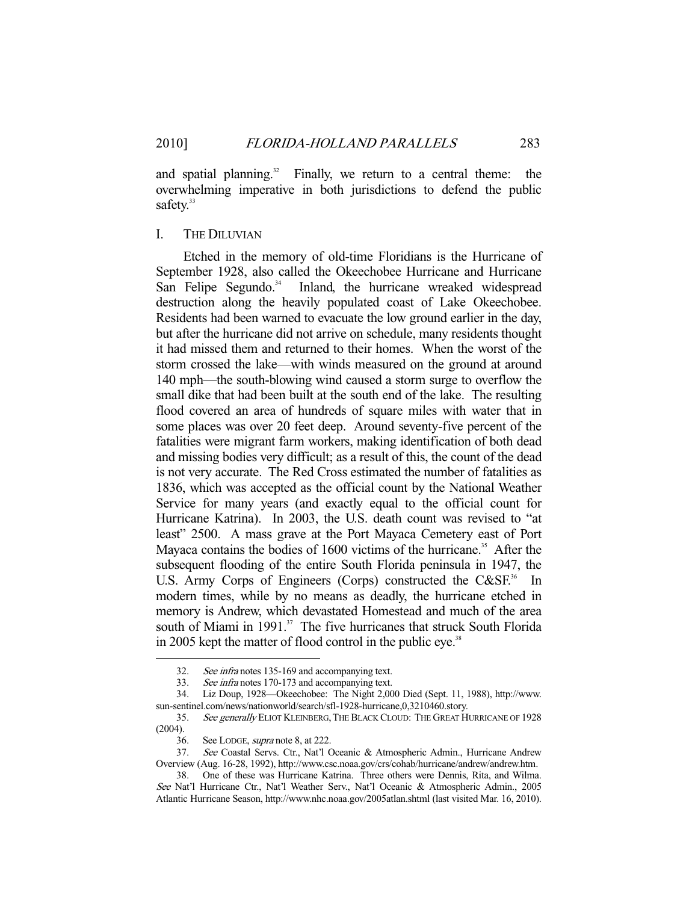and spatial planning. $32$  Finally, we return to a central theme: the overwhelming imperative in both jurisdictions to defend the public safety.<sup>33</sup>

## I. THE DILUVIAN

 Etched in the memory of old-time Floridians is the Hurricane of September 1928, also called the Okeechobee Hurricane and Hurricane San Felipe Segundo.<sup>34</sup> Inland, the hurricane wreaked widespread destruction along the heavily populated coast of Lake Okeechobee. Residents had been warned to evacuate the low ground earlier in the day, but after the hurricane did not arrive on schedule, many residents thought it had missed them and returned to their homes. When the worst of the storm crossed the lake—with winds measured on the ground at around 140 mph—the south-blowing wind caused a storm surge to overflow the small dike that had been built at the south end of the lake. The resulting flood covered an area of hundreds of square miles with water that in some places was over 20 feet deep. Around seventy-five percent of the fatalities were migrant farm workers, making identification of both dead and missing bodies very difficult; as a result of this, the count of the dead is not very accurate. The Red Cross estimated the number of fatalities as 1836, which was accepted as the official count by the National Weather Service for many years (and exactly equal to the official count for Hurricane Katrina). In 2003, the U.S. death count was revised to "at least" 2500. A mass grave at the Port Mayaca Cemetery east of Port Mayaca contains the bodies of 1600 victims of the hurricane.<sup>35</sup> After the subsequent flooding of the entire South Florida peninsula in 1947, the U.S. Army Corps of Engineers (Corps) constructed the C&SF.<sup>36</sup> In modern times, while by no means as deadly, the hurricane etched in memory is Andrew, which devastated Homestead and much of the area south of Miami in 1991.<sup>37</sup> The five hurricanes that struck South Florida in 2005 kept the matter of flood control in the public eye.<sup>38</sup>

 <sup>32.</sup> See infra notes 135-169 and accompanying text.

 <sup>33.</sup> See infra notes 170-173 and accompanying text.

 <sup>34.</sup> Liz Doup, 1928—Okeechobee: The Night 2,000 Died (Sept. 11, 1988), http://www. sun-sentinel.com/news/nationworld/search/sfl-1928-hurricane,0,3210460.story.

<sup>35.</sup> See generally ELIOT KLEINBERG, THE BLACK CLOUD: THE GREAT HURRICANE OF 1928 (2004).

 <sup>36.</sup> See LODGE, supra note 8, at 222.

 <sup>37.</sup> See Coastal Servs. Ctr., Nat'l Oceanic & Atmospheric Admin., Hurricane Andrew Overview (Aug. 16-28, 1992), http://www.csc.noaa.gov/crs/cohab/hurricane/andrew/andrew.htm.

 <sup>38.</sup> One of these was Hurricane Katrina. Three others were Dennis, Rita, and Wilma. See Nat'l Hurricane Ctr., Nat'l Weather Serv., Nat'l Oceanic & Atmospheric Admin., 2005 Atlantic Hurricane Season, http://www.nhc.noaa.gov/2005atlan.shtml (last visited Mar. 16, 2010).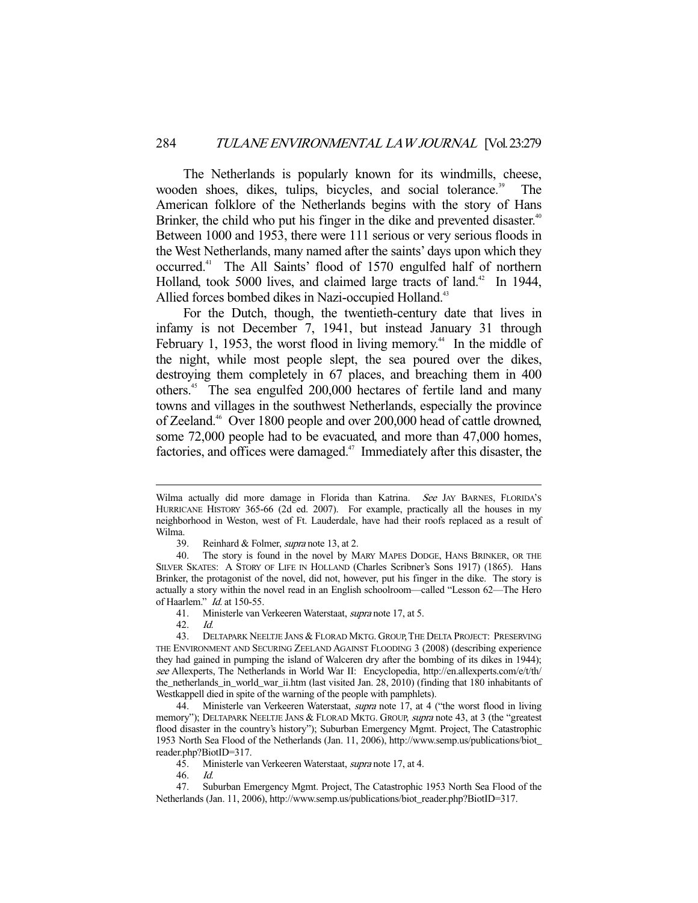The Netherlands is popularly known for its windmills, cheese, wooden shoes, dikes, tulips, bicycles, and social tolerance.<sup>39</sup> The American folklore of the Netherlands begins with the story of Hans Brinker, the child who put his finger in the dike and prevented disaster.<sup>40</sup> Between 1000 and 1953, there were 111 serious or very serious floods in the West Netherlands, many named after the saints' days upon which they occurred.41 The All Saints' flood of 1570 engulfed half of northern Holland, took 5000 lives, and claimed large tracts of land.<sup>42</sup> In 1944, Allied forces bombed dikes in Nazi-occupied Holland.<sup>43</sup>

 For the Dutch, though, the twentieth-century date that lives in infamy is not December 7, 1941, but instead January 31 through February 1, 1953, the worst flood in living memory.<sup> $44$ </sup> In the middle of the night, while most people slept, the sea poured over the dikes, destroying them completely in 67 places, and breaching them in 400 others.45 The sea engulfed 200,000 hectares of fertile land and many towns and villages in the southwest Netherlands, especially the province of Zeeland.46 Over 1800 people and over 200,000 head of cattle drowned, some 72,000 people had to be evacuated, and more than 47,000 homes, factories, and offices were damaged.<sup>47</sup> Immediately after this disaster, the

Wilma actually did more damage in Florida than Katrina. See JAY BARNES, FLORIDA'S HURRICANE HISTORY 365-66 (2d ed. 2007). For example, practically all the houses in my neighborhood in Weston, west of Ft. Lauderdale, have had their roofs replaced as a result of Wilma.

 <sup>39.</sup> Reinhard & Folmer, supra note 13, at 2.

 <sup>40.</sup> The story is found in the novel by MARY MAPES DODGE, HANS BRINKER, OR THE SILVER SKATES: A STORY OF LIFE IN HOLLAND (Charles Scribner's Sons 1917) (1865). Hans Brinker, the protagonist of the novel, did not, however, put his finger in the dike. The story is actually a story within the novel read in an English schoolroom—called "Lesson 62—The Hero of Haarlem." *Id.* at 150-55.

 <sup>41.</sup> Ministerle van Verkeeren Waterstaat, supra note 17, at 5.

 <sup>42.</sup> Id.

 <sup>43.</sup> DELTAPARK NEELTJE JANS & FLORAD MKTG. GROUP,THE DELTA PROJECT: PRESERVING THE ENVIRONMENT AND SECURING ZEELAND AGAINST FLOODING 3 (2008) (describing experience they had gained in pumping the island of Walceren dry after the bombing of its dikes in 1944); see Allexperts, The Netherlands in World War II: Encyclopedia, http://en.allexperts.com/e/t/th/ the\_netherlands\_in\_world\_war\_ii.htm (last visited Jan. 28, 2010) (finding that 180 inhabitants of Westkappell died in spite of the warning of the people with pamphlets).

<sup>44.</sup> Ministerle van Verkeeren Waterstaat, *supra* note 17, at 4 ("the worst flood in living memory"); DELTAPARK NEELTJE JANS & FLORAD MKTG. GROUP, *supra* note 43, at 3 (the "greatest flood disaster in the country's history"); Suburban Emergency Mgmt. Project, The Catastrophic 1953 North Sea Flood of the Netherlands (Jan. 11, 2006), http://www.semp.us/publications/biot\_ reader.php?BiotID=317.

 <sup>45.</sup> Ministerle van Verkeeren Waterstaat, supra note 17, at 4.

 <sup>46.</sup> Id.

 <sup>47.</sup> Suburban Emergency Mgmt. Project, The Catastrophic 1953 North Sea Flood of the Netherlands (Jan. 11, 2006), http://www.semp.us/publications/biot\_reader.php?BiotID=317.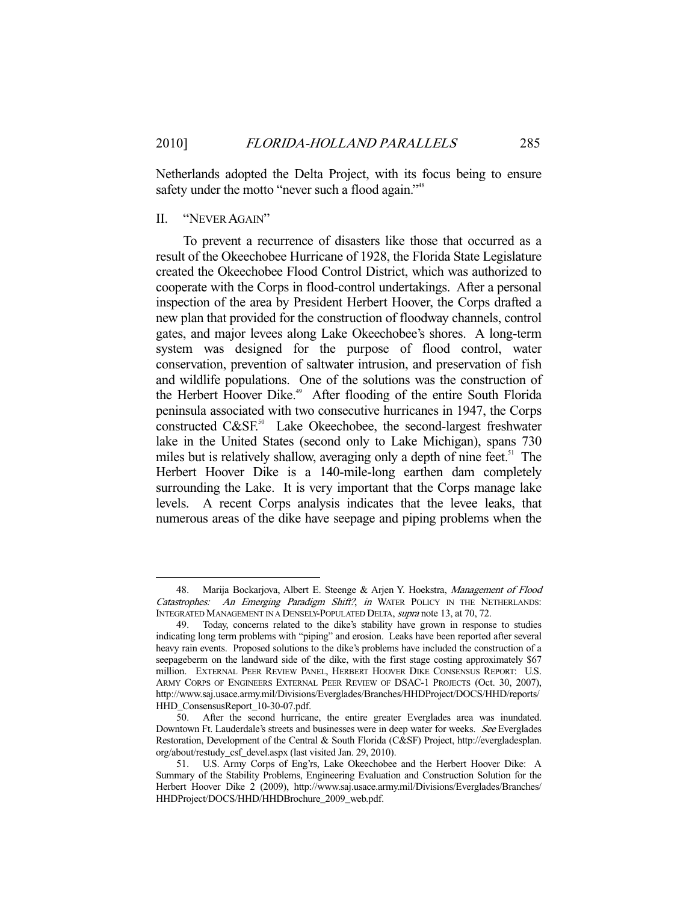Netherlands adopted the Delta Project, with its focus being to ensure safety under the motto "never such a flood again."<sup>48</sup>

# II. "NEVER AGAIN"

-

 To prevent a recurrence of disasters like those that occurred as a result of the Okeechobee Hurricane of 1928, the Florida State Legislature created the Okeechobee Flood Control District, which was authorized to cooperate with the Corps in flood-control undertakings. After a personal inspection of the area by President Herbert Hoover, the Corps drafted a new plan that provided for the construction of floodway channels, control gates, and major levees along Lake Okeechobee's shores. A long-term system was designed for the purpose of flood control, water conservation, prevention of saltwater intrusion, and preservation of fish and wildlife populations. One of the solutions was the construction of the Herbert Hoover Dike.<sup>49</sup> After flooding of the entire South Florida peninsula associated with two consecutive hurricanes in 1947, the Corps constructed C&SF.<sup>50</sup> Lake Okeechobee, the second-largest freshwater lake in the United States (second only to Lake Michigan), spans 730 miles but is relatively shallow, averaging only a depth of nine feet.<sup>51</sup> The Herbert Hoover Dike is a 140-mile-long earthen dam completely surrounding the Lake. It is very important that the Corps manage lake levels. A recent Corps analysis indicates that the levee leaks, that numerous areas of the dike have seepage and piping problems when the

<sup>48.</sup> Marija Bockarjova, Albert E. Steenge & Arjen Y. Hoekstra, Management of Flood Catastrophes: An Emerging Paradigm Shift?, in WATER POLICY IN THE NETHERLANDS: INTEGRATED MANAGEMENT IN A DENSELY-POPULATED DELTA, supra note 13, at 70, 72.

 <sup>49.</sup> Today, concerns related to the dike's stability have grown in response to studies indicating long term problems with "piping" and erosion. Leaks have been reported after several heavy rain events. Proposed solutions to the dike's problems have included the construction of a seepageberm on the landward side of the dike, with the first stage costing approximately \$67 million. EXTERNAL PEER REVIEW PANEL, HERBERT HOOVER DIKE CONSENSUS REPORT: U.S. ARMY CORPS OF ENGINEERS EXTERNAL PEER REVIEW OF DSAC-1 PROJECTS (Oct. 30, 2007), http://www.saj.usace.army.mil/Divisions/Everglades/Branches/HHDProject/DOCS/HHD/reports/ HHD\_ConsensusReport\_10-30-07.pdf.

 <sup>50.</sup> After the second hurricane, the entire greater Everglades area was inundated. Downtown Ft. Lauderdale's streets and businesses were in deep water for weeks. See Everglades Restoration, Development of the Central & South Florida (C&SF) Project, http://evergladesplan. org/about/restudy\_csf\_devel.aspx (last visited Jan. 29, 2010).

 <sup>51.</sup> U.S. Army Corps of Eng'rs, Lake Okeechobee and the Herbert Hoover Dike: A Summary of the Stability Problems, Engineering Evaluation and Construction Solution for the Herbert Hoover Dike 2 (2009), http://www.saj.usace.army.mil/Divisions/Everglades/Branches/ HHDProject/DOCS/HHD/HHDBrochure\_2009\_web.pdf.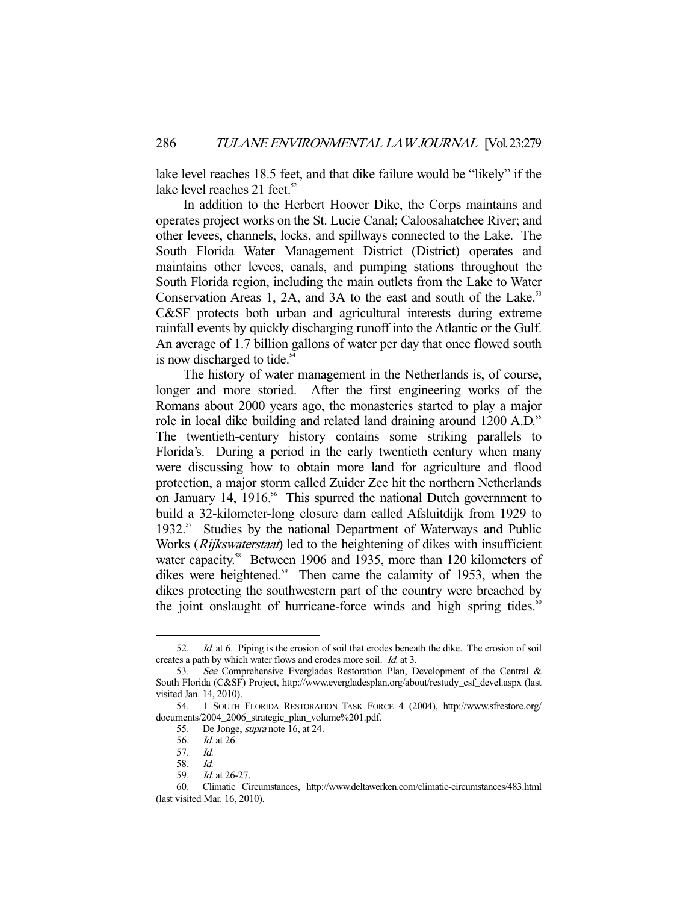lake level reaches 18.5 feet, and that dike failure would be "likely" if the lake level reaches 21 feet. $52$ 

 In addition to the Herbert Hoover Dike, the Corps maintains and operates project works on the St. Lucie Canal; Caloosahatchee River; and other levees, channels, locks, and spillways connected to the Lake. The South Florida Water Management District (District) operates and maintains other levees, canals, and pumping stations throughout the South Florida region, including the main outlets from the Lake to Water Conservation Areas 1, 2A, and 3A to the east and south of the Lake.<sup>53</sup> C&SF protects both urban and agricultural interests during extreme rainfall events by quickly discharging runoff into the Atlantic or the Gulf. An average of 1.7 billion gallons of water per day that once flowed south is now discharged to tide. $54$ 

 The history of water management in the Netherlands is, of course, longer and more storied. After the first engineering works of the Romans about 2000 years ago, the monasteries started to play a major role in local dike building and related land draining around 1200 A.D.<sup>55</sup> The twentieth-century history contains some striking parallels to Florida's. During a period in the early twentieth century when many were discussing how to obtain more land for agriculture and flood protection, a major storm called Zuider Zee hit the northern Netherlands on January 14, 1916.<sup>56</sup> This spurred the national Dutch government to build a 32-kilometer-long closure dam called Afsluitdijk from 1929 to 1932.<sup>57</sup> Studies by the national Department of Waterways and Public Works (*Rijkswaterstaat*) led to the heightening of dikes with insufficient water capacity.<sup>58</sup> Between 1906 and 1935, more than 120 kilometers of dikes were heightened.<sup>59</sup> Then came the calamity of 1953, when the dikes protecting the southwestern part of the country were breached by the joint onslaught of hurricane-force winds and high spring tides.<sup>60</sup>

 <sup>52.</sup> Id. at 6. Piping is the erosion of soil that erodes beneath the dike. The erosion of soil creates a path by which water flows and erodes more soil. Id. at 3.

 <sup>53.</sup> See Comprehensive Everglades Restoration Plan, Development of the Central & South Florida (C&SF) Project, http://www.evergladesplan.org/about/restudy\_csf\_devel.aspx (last visited Jan. 14, 2010).

 <sup>54. 1</sup> SOUTH FLORIDA RESTORATION TASK FORCE 4 (2004), http://www.sfrestore.org/ documents/2004\_2006\_strategic\_plan\_volume%201.pdf.

 <sup>55.</sup> De Jonge, supra note 16, at 24.

<sup>56.</sup> *Id.* at 26.

 <sup>57.</sup> Id.

 <sup>58.</sup> Id.

 <sup>59.</sup> Id. at 26-27.

 <sup>60.</sup> Climatic Circumstances, http://www.deltawerken.com/climatic-circumstances/483.html (last visited Mar. 16, 2010).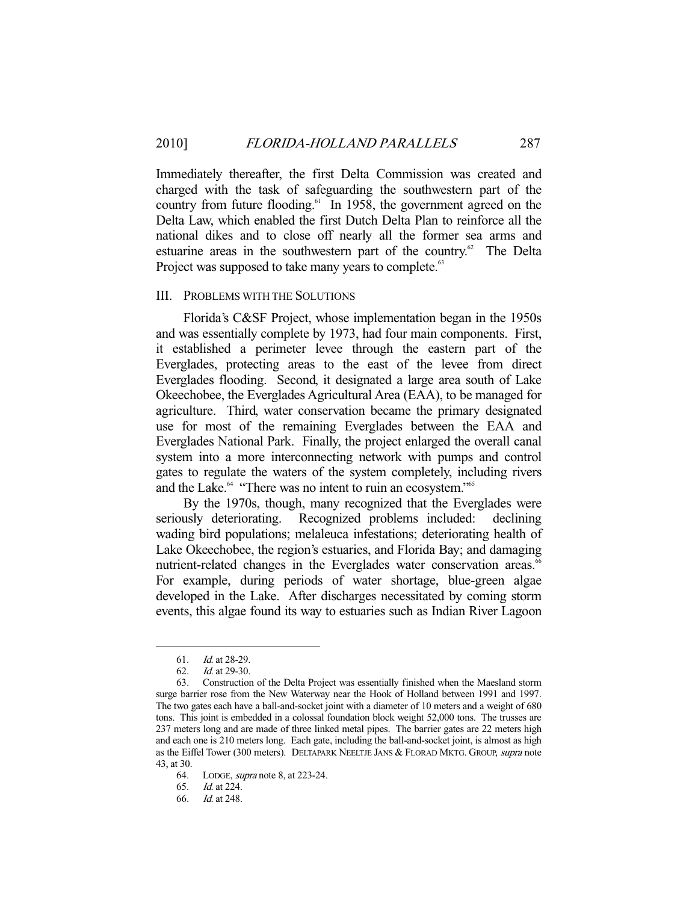Immediately thereafter, the first Delta Commission was created and charged with the task of safeguarding the southwestern part of the country from future flooding.<sup>61</sup> In 1958, the government agreed on the Delta Law, which enabled the first Dutch Delta Plan to reinforce all the national dikes and to close off nearly all the former sea arms and estuarine areas in the southwestern part of the country.<sup>62</sup> The Delta Project was supposed to take many years to complete.<sup>63</sup>

# III. PROBLEMS WITH THE SOLUTIONS

 Florida's C&SF Project, whose implementation began in the 1950s and was essentially complete by 1973, had four main components. First, it established a perimeter levee through the eastern part of the Everglades, protecting areas to the east of the levee from direct Everglades flooding. Second, it designated a large area south of Lake Okeechobee, the Everglades Agricultural Area (EAA), to be managed for agriculture. Third, water conservation became the primary designated use for most of the remaining Everglades between the EAA and Everglades National Park. Finally, the project enlarged the overall canal system into a more interconnecting network with pumps and control gates to regulate the waters of the system completely, including rivers and the Lake.<sup>64</sup> "There was no intent to ruin an ecosystem."<sup>65</sup>

 By the 1970s, though, many recognized that the Everglades were seriously deteriorating. Recognized problems included: declining wading bird populations; melaleuca infestations; deteriorating health of Lake Okeechobee, the region's estuaries, and Florida Bay; and damaging nutrient-related changes in the Everglades water conservation areas.<sup>66</sup> For example, during periods of water shortage, blue-green algae developed in the Lake. After discharges necessitated by coming storm events, this algae found its way to estuaries such as Indian River Lagoon

-

65. Id. at 224.

 <sup>61.</sup> Id. at 28-29.

 <sup>62.</sup> Id. at 29-30.

 <sup>63.</sup> Construction of the Delta Project was essentially finished when the Maesland storm surge barrier rose from the New Waterway near the Hook of Holland between 1991 and 1997. The two gates each have a ball-and-socket joint with a diameter of 10 meters and a weight of 680 tons. This joint is embedded in a colossal foundation block weight 52,000 tons. The trusses are 237 meters long and are made of three linked metal pipes. The barrier gates are 22 meters high and each one is 210 meters long. Each gate, including the ball-and-socket joint, is almost as high as the Eiffel Tower (300 meters). DELTAPARK NEELTJE JANS & FLORAD MKTG. GROUP, supra note 43, at 30.

 <sup>64.</sup> LODGE, supra note 8, at 223-24.

 <sup>66.</sup> Id. at 248.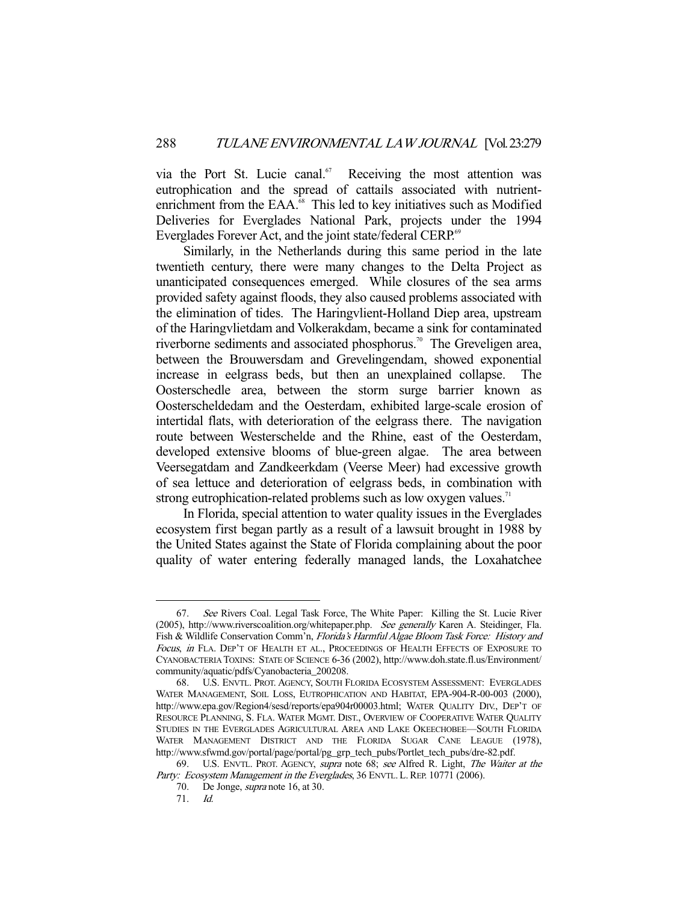via the Port St. Lucie canal.<sup>67</sup> Receiving the most attention was eutrophication and the spread of cattails associated with nutrientenrichment from the EAA.<sup>68</sup> This led to key initiatives such as Modified Deliveries for Everglades National Park, projects under the 1994 Everglades Forever Act, and the joint state/federal CERP.<sup>69</sup>

 Similarly, in the Netherlands during this same period in the late twentieth century, there were many changes to the Delta Project as unanticipated consequences emerged. While closures of the sea arms provided safety against floods, they also caused problems associated with the elimination of tides. The Haringvlient-Holland Diep area, upstream of the Haringvlietdam and Volkerakdam, became a sink for contaminated riverborne sediments and associated phosphorus.<sup>70</sup> The Greveligen area, between the Brouwersdam and Grevelingendam, showed exponential increase in eelgrass beds, but then an unexplained collapse. The Oosterschedle area, between the storm surge barrier known as Oosterscheldedam and the Oesterdam, exhibited large-scale erosion of intertidal flats, with deterioration of the eelgrass there. The navigation route between Westerschelde and the Rhine, east of the Oesterdam, developed extensive blooms of blue-green algae. The area between Veersegatdam and Zandkeerkdam (Veerse Meer) had excessive growth of sea lettuce and deterioration of eelgrass beds, in combination with strong eutrophication-related problems such as low oxygen values.<sup>71</sup>

 In Florida, special attention to water quality issues in the Everglades ecosystem first began partly as a result of a lawsuit brought in 1988 by the United States against the State of Florida complaining about the poor quality of water entering federally managed lands, the Loxahatchee

<sup>67.</sup> See Rivers Coal. Legal Task Force, The White Paper: Killing the St. Lucie River (2005), http://www.riverscoalition.org/whitepaper.php. See generally Karen A. Steidinger, Fla. Fish & Wildlife Conservation Comm'n, Florida's Harmful Algae Bloom Task Force: History and Focus, in FLA. DEP'T OF HEALTH ET AL., PROCEEDINGS OF HEALTH EFFECTS OF EXPOSURE TO CYANOBACTERIA TOXINS: STATE OF SCIENCE 6-36 (2002), http://www.doh.state.fl.us/Environment/ community/aquatic/pdfs/Cyanobacteria\_200208.

 <sup>68.</sup> U.S. ENVTL. PROT. AGENCY, SOUTH FLORIDA ECOSYSTEM ASSESSMENT: EVERGLADES WATER MANAGEMENT, SOIL LOSS, EUTROPHICATION AND HABITAT, EPA-904-R-00-003 (2000), http://www.epa.gov/Region4/sesd/reports/epa904r00003.html; WATER QUALITY DIV., DEP'T OF RESOURCE PLANNING, S. FLA. WATER MGMT. DIST., OVERVIEW OF COOPERATIVE WATER QUALITY STUDIES IN THE EVERGLADES AGRICULTURAL AREA AND LAKE OKEECHOBEE—SOUTH FLORIDA WATER MANAGEMENT DISTRICT AND THE FLORIDA SUGAR CANE LEAGUE (1978), http://www.sfwmd.gov/portal/page/portal/pg\_grp\_tech\_pubs/Portlet\_tech\_pubs/dre-82.pdf.

<sup>69.</sup> U.S. ENVTL. PROT. AGENCY, supra note 68; see Alfred R. Light, The Waiter at the Party: Ecosystem Management in the Everglades, 36 ENVTL. L. REP. 10771 (2006).

 <sup>70.</sup> De Jonge, supra note 16, at 30.

 <sup>71.</sup> Id.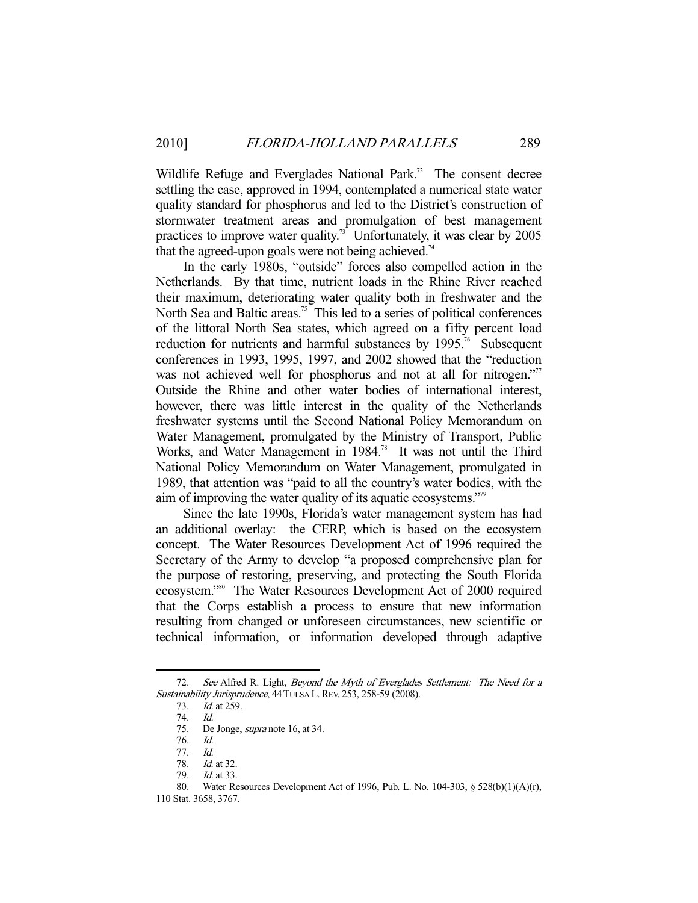Wildlife Refuge and Everglades National Park.<sup>72</sup> The consent decree settling the case, approved in 1994, contemplated a numerical state water quality standard for phosphorus and led to the District's construction of stormwater treatment areas and promulgation of best management practices to improve water quality.<sup>73</sup> Unfortunately, it was clear by  $2005$ that the agreed-upon goals were not being achieved.<sup>74</sup>

 In the early 1980s, "outside" forces also compelled action in the Netherlands. By that time, nutrient loads in the Rhine River reached their maximum, deteriorating water quality both in freshwater and the North Sea and Baltic areas.<sup>75</sup> This led to a series of political conferences of the littoral North Sea states, which agreed on a fifty percent load reduction for nutrients and harmful substances by  $1995$ .<sup>76</sup> Subsequent conferences in 1993, 1995, 1997, and 2002 showed that the "reduction was not achieved well for phosphorus and not at all for nitrogen."<sup>77</sup> Outside the Rhine and other water bodies of international interest, however, there was little interest in the quality of the Netherlands freshwater systems until the Second National Policy Memorandum on Water Management, promulgated by the Ministry of Transport, Public Works, and Water Management in 1984.<sup>78</sup> It was not until the Third National Policy Memorandum on Water Management, promulgated in 1989, that attention was "paid to all the country's water bodies, with the aim of improving the water quality of its aquatic ecosystems."79

 Since the late 1990s, Florida's water management system has had an additional overlay: the CERP, which is based on the ecosystem concept. The Water Resources Development Act of 1996 required the Secretary of the Army to develop "a proposed comprehensive plan for the purpose of restoring, preserving, and protecting the South Florida ecosystem."80 The Water Resources Development Act of 2000 required that the Corps establish a process to ensure that new information resulting from changed or unforeseen circumstances, new scientific or technical information, or information developed through adaptive

<sup>72.</sup> See Alfred R. Light, Beyond the Myth of Everglades Settlement: The Need for a Sustainability Jurisprudence, 44TULSA L.REV. 253, 258-59 (2008).

 <sup>73.</sup> Id. at 259.

 <sup>74.</sup> Id.

 <sup>75.</sup> De Jonge, supra note 16, at 34.

 <sup>76.</sup> Id.

 <sup>77.</sup> Id.

<sup>78.</sup> *Id.* at 32.

 <sup>79.</sup> Id. at 33.

 <sup>80.</sup> Water Resources Development Act of 1996, Pub. L. No. 104-303, § 528(b)(1)(A)(r),

<sup>110</sup> Stat. 3658, 3767.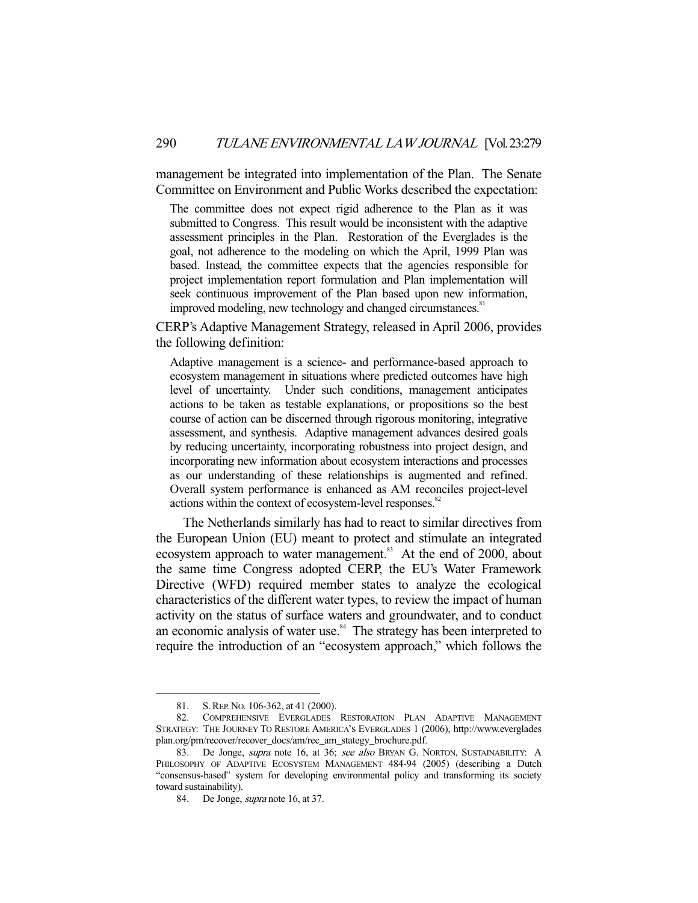management be integrated into implementation of the Plan. The Senate Committee on Environment and Public Works described the expectation:

The committee does not expect rigid adherence to the Plan as it was submitted to Congress. This result would be inconsistent with the adaptive assessment principles in the Plan. Restoration of the Everglades is the goal, not adherence to the modeling on which the April, 1999 Plan was based. Instead, the committee expects that the agencies responsible for project implementation report formulation and Plan implementation will seek continuous improvement of the Plan based upon new information, improved modeling, new technology and changed circumstances.<sup>81</sup>

CERP's Adaptive Management Strategy, released in April 2006, provides the following definition:

Adaptive management is a science- and performance-based approach to ecosystem management in situations where predicted outcomes have high level of uncertainty. Under such conditions, management anticipates actions to be taken as testable explanations, or propositions so the best course of action can be discerned through rigorous monitoring, integrative assessment, and synthesis. Adaptive management advances desired goals by reducing uncertainty, incorporating robustness into project design, and incorporating new information about ecosystem interactions and processes as our understanding of these relationships is augmented and refined. Overall system performance is enhanced as AM reconciles project-level actions within the context of ecosystem-level responses.<sup>82</sup>

 The Netherlands similarly has had to react to similar directives from the European Union (EU) meant to protect and stimulate an integrated ecosystem approach to water management.<sup>83</sup> At the end of 2000, about the same time Congress adopted CERP, the EU's Water Framework Directive (WFD) required member states to analyze the ecological characteristics of the different water types, to review the impact of human activity on the status of surface waters and groundwater, and to conduct an economic analysis of water use.<sup>84</sup> The strategy has been interpreted to require the introduction of an "ecosystem approach," which follows the

 <sup>81.</sup> S.REP. NO. 106-362, at 41 (2000).

 <sup>82.</sup> COMPREHENSIVE EVERGLADES RESTORATION PLAN ADAPTIVE MANAGEMENT STRATEGY: THE JOURNEY TO RESTORE AMERICA'S EVERGLADES 1 (2006), http://www.everglades plan.org/pm/recover/recover\_docs/am/rec\_am\_stategy\_brochure.pdf.

<sup>83.</sup> De Jonge, *supra* note 16, at 36; see also BRYAN G. NORTON, SUSTAINABILITY: A PHILOSOPHY OF ADAPTIVE ECOSYSTEM MANAGEMENT 484-94 (2005) (describing a Dutch "consensus-based" system for developing environmental policy and transforming its society toward sustainability).

<sup>84.</sup> De Jonge, *supra* note 16, at 37.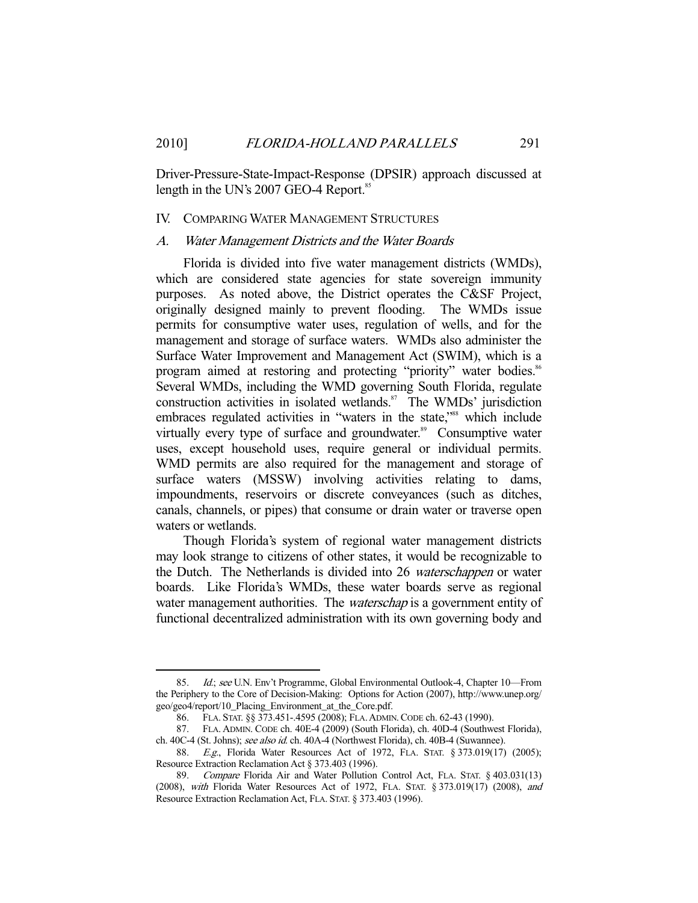Driver-Pressure-State-Impact-Response (DPSIR) approach discussed at length in the UN's 2007 GEO-4 Report.<sup>85</sup>

# IV. COMPARING WATER MANAGEMENT STRUCTURES

#### A. Water Management Districts and the Water Boards

 Florida is divided into five water management districts (WMDs), which are considered state agencies for state sovereign immunity purposes. As noted above, the District operates the C&SF Project, originally designed mainly to prevent flooding. The WMDs issue permits for consumptive water uses, regulation of wells, and for the management and storage of surface waters. WMDs also administer the Surface Water Improvement and Management Act (SWIM), which is a program aimed at restoring and protecting "priority" water bodies.<sup>86</sup> Several WMDs, including the WMD governing South Florida, regulate construction activities in isolated wetlands.<sup>87</sup> The WMDs' jurisdiction embraces regulated activities in "waters in the state,"<sup>88</sup> which include virtually every type of surface and groundwater.<sup>89</sup> Consumptive water uses, except household uses, require general or individual permits. WMD permits are also required for the management and storage of surface waters (MSSW) involving activities relating to dams, impoundments, reservoirs or discrete conveyances (such as ditches, canals, channels, or pipes) that consume or drain water or traverse open waters or wetlands.

 Though Florida's system of regional water management districts may look strange to citizens of other states, it would be recognizable to the Dutch. The Netherlands is divided into 26 waterschappen or water boards. Like Florida's WMDs, these water boards serve as regional water management authorities. The *waterschap* is a government entity of functional decentralized administration with its own governing body and

<sup>85.</sup> Id.; see U.N. Env't Programme, Global Environmental Outlook-4, Chapter 10-From the Periphery to the Core of Decision-Making: Options for Action (2007), http://www.unep.org/ geo/geo4/report/10\_Placing\_Environment\_at\_the\_Core.pdf.

 <sup>86.</sup> FLA. STAT. §§ 373.451-.4595 (2008); FLA.ADMIN.CODE ch. 62-43 (1990).

 <sup>87.</sup> FLA. ADMIN. CODE ch. 40E-4 (2009) (South Florida), ch. 40D-4 (Southwest Florida), ch. 40C-4 (St. Johns); see also id. ch. 40A-4 (Northwest Florida), ch. 40B-4 (Suwannee).

<sup>88.</sup> E.g., Florida Water Resources Act of 1972, FLA. STAT. § 373.019(17) (2005); Resource Extraction Reclamation Act § 373.403 (1996).

<sup>89.</sup> Compare Florida Air and Water Pollution Control Act, FLA. STAT. § 403.031(13) (2008), with Florida Water Resources Act of 1972, FLA. STAT. § 373.019(17) (2008), and Resource Extraction Reclamation Act, FLA. STAT. § 373.403 (1996).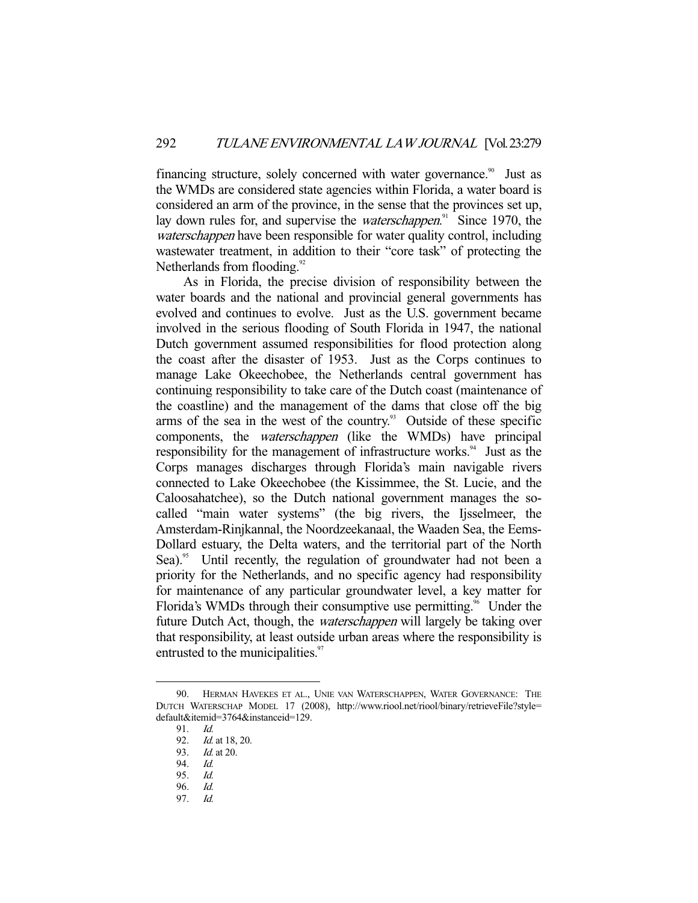financing structure, solely concerned with water governance.<sup>90</sup> Just as the WMDs are considered state agencies within Florida, a water board is considered an arm of the province, in the sense that the provinces set up, lay down rules for, and supervise the *waterschappen*.<sup>91</sup> Since 1970, the waterschappen have been responsible for water quality control, including wastewater treatment, in addition to their "core task" of protecting the Netherlands from flooding.<sup>92</sup>

 As in Florida, the precise division of responsibility between the water boards and the national and provincial general governments has evolved and continues to evolve. Just as the U.S. government became involved in the serious flooding of South Florida in 1947, the national Dutch government assumed responsibilities for flood protection along the coast after the disaster of 1953. Just as the Corps continues to manage Lake Okeechobee, the Netherlands central government has continuing responsibility to take care of the Dutch coast (maintenance of the coastline) and the management of the dams that close off the big arms of the sea in the west of the country. $93$  Outside of these specific components, the waterschappen (like the WMDs) have principal responsibility for the management of infrastructure works.<sup>94</sup> Just as the Corps manages discharges through Florida's main navigable rivers connected to Lake Okeechobee (the Kissimmee, the St. Lucie, and the Caloosahatchee), so the Dutch national government manages the socalled "main water systems" (the big rivers, the Ijsselmeer, the Amsterdam-Rinjkannal, the Noordzeekanaal, the Waaden Sea, the Eems-Dollard estuary, the Delta waters, and the territorial part of the North Sea).<sup>95</sup> Until recently, the regulation of groundwater had not been a priority for the Netherlands, and no specific agency had responsibility for maintenance of any particular groundwater level, a key matter for Florida's WMDs through their consumptive use permitting.<sup>96</sup> Under the future Dutch Act, though, the waterschappen will largely be taking over that responsibility, at least outside urban areas where the responsibility is entrusted to the municipalities.<sup>97</sup>

 <sup>90.</sup> HERMAN HAVEKES ET AL., UNIE VAN WATERSCHAPPEN, WATER GOVERNANCE: THE DUTCH WATERSCHAP MODEL 17 (2008), http://www.riool.net/riool/binary/retrieveFile?style= default&itemid=3764&instanceid=129.

<sup>91.</sup> *Id.*<br>92. *Id.* 

Id. at 18, 20.

 <sup>93.</sup> Id. at 20.

 <sup>94.</sup> Id.

 <sup>95.</sup> Id.

 <sup>96.</sup> Id.

 <sup>97.</sup> Id.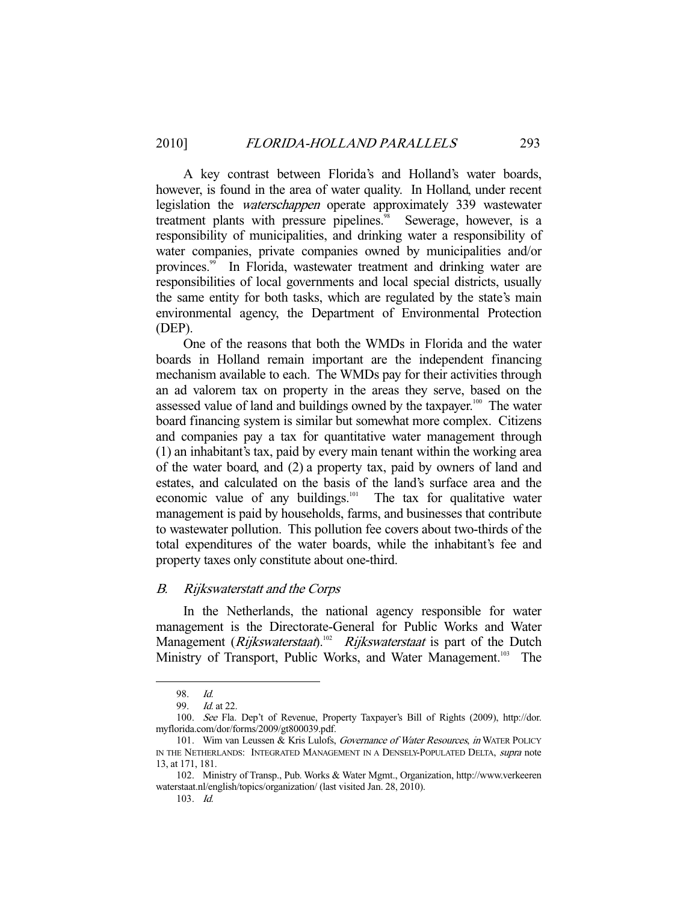A key contrast between Florida's and Holland's water boards, however, is found in the area of water quality. In Holland, under recent legislation the waterschappen operate approximately 339 wastewater treatment plants with pressure pipelines.<sup>98</sup> Sewerage, however, is a responsibility of municipalities, and drinking water a responsibility of water companies, private companies owned by municipalities and/or provinces.<sup>99</sup> In Florida, wastewater treatment and drinking water are responsibilities of local governments and local special districts, usually the same entity for both tasks, which are regulated by the state's main environmental agency, the Department of Environmental Protection (DEP).

 One of the reasons that both the WMDs in Florida and the water boards in Holland remain important are the independent financing mechanism available to each. The WMDs pay for their activities through an ad valorem tax on property in the areas they serve, based on the assessed value of land and buildings owned by the taxpayer.<sup>100</sup> The water board financing system is similar but somewhat more complex. Citizens and companies pay a tax for quantitative water management through (1) an inhabitant's tax, paid by every main tenant within the working area of the water board, and (2) a property tax, paid by owners of land and estates, and calculated on the basis of the land's surface area and the economic value of any buildings.<sup>101</sup> The tax for qualitative water management is paid by households, farms, and businesses that contribute to wastewater pollution. This pollution fee covers about two-thirds of the total expenditures of the water boards, while the inhabitant's fee and property taxes only constitute about one-third.

# B. Rijkswaterstatt and the Corps

 In the Netherlands, the national agency responsible for water management is the Directorate-General for Public Works and Water Management (*Rijkswaterstaat*).<sup>102</sup> *Rijkswaterstaat* is part of the Dutch Ministry of Transport, Public Works, and Water Management.<sup>103</sup> The

<sup>98.</sup> *Id.* 99 *Id.* 

 $Id$  at 22.

 <sup>100.</sup> See Fla. Dep't of Revenue, Property Taxpayer's Bill of Rights (2009), http://dor. myflorida.com/dor/forms/2009/gt800039.pdf.

<sup>101.</sup> Wim van Leussen & Kris Lulofs, Governance of Water Resources, in WATER POLICY IN THE NETHERLANDS: INTEGRATED MANAGEMENT IN A DENSELY-POPULATED DELTA, supra note 13, at 171, 181.

 <sup>102.</sup> Ministry of Transp., Pub. Works & Water Mgmt., Organization, http://www.verkeeren waterstaat.nl/english/topics/organization/ (last visited Jan. 28, 2010).

 <sup>103.</sup> Id.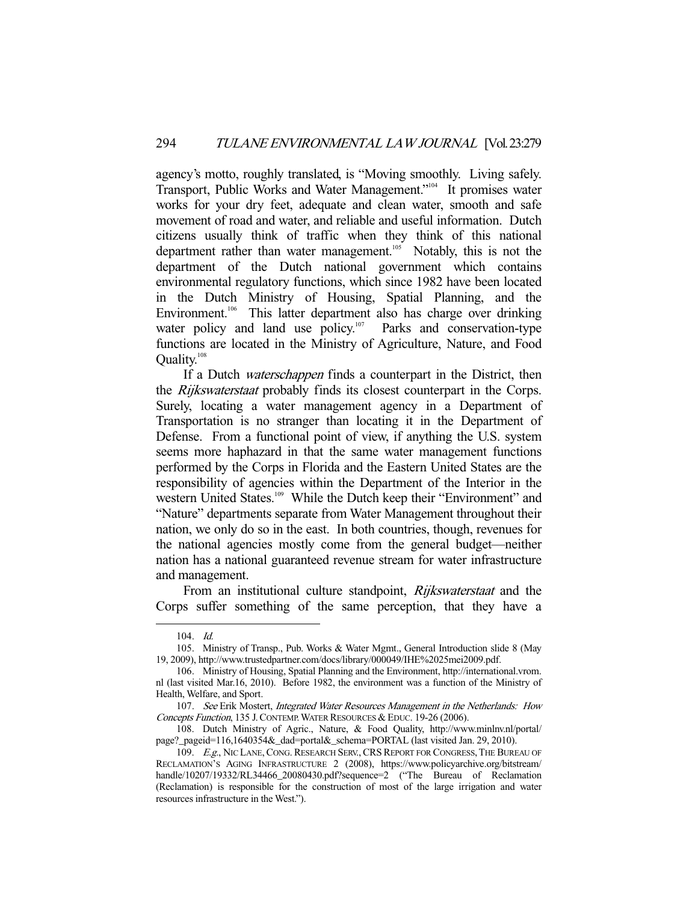agency's motto, roughly translated, is "Moving smoothly. Living safely. Transport, Public Works and Water Management."104 It promises water works for your dry feet, adequate and clean water, smooth and safe movement of road and water, and reliable and useful information. Dutch citizens usually think of traffic when they think of this national department rather than water management.<sup>105</sup> Notably, this is not the department of the Dutch national government which contains environmental regulatory functions, which since 1982 have been located in the Dutch Ministry of Housing, Spatial Planning, and the Environment.<sup>106</sup> This latter department also has charge over drinking water policy and land use policy.<sup>107</sup> Parks and conservation-type functions are located in the Ministry of Agriculture, Nature, and Food Quality.108

If a Dutch *waterschappen* finds a counterpart in the District, then the Rijkswaterstaat probably finds its closest counterpart in the Corps. Surely, locating a water management agency in a Department of Transportation is no stranger than locating it in the Department of Defense. From a functional point of view, if anything the U.S. system seems more haphazard in that the same water management functions performed by the Corps in Florida and the Eastern United States are the responsibility of agencies within the Department of the Interior in the western United States.<sup>109</sup> While the Dutch keep their "Environment" and "Nature" departments separate from Water Management throughout their nation, we only do so in the east. In both countries, though, revenues for the national agencies mostly come from the general budget—neither nation has a national guaranteed revenue stream for water infrastructure and management.

From an institutional culture standpoint, *Rijkswaterstaat* and the Corps suffer something of the same perception, that they have a

 <sup>104.</sup> Id.

 <sup>105.</sup> Ministry of Transp., Pub. Works & Water Mgmt., General Introduction slide 8 (May 19, 2009), http://www.trustedpartner.com/docs/library/000049/IHE%2025mei2009.pdf.

 <sup>106.</sup> Ministry of Housing, Spatial Planning and the Environment, http://international.vrom. nl (last visited Mar.16, 2010). Before 1982, the environment was a function of the Ministry of Health, Welfare, and Sport.

<sup>107.</sup> See Erik Mostert, Integrated Water Resources Management in the Netherlands: How Concepts Function, 135 J.CONTEMP.WATER RESOURCES & EDUC. 19-26 (2006).

 <sup>108.</sup> Dutch Ministry of Agric., Nature, & Food Quality, http://www.minlnv.nl/portal/ page?\_pageid=116,1640354&\_dad=portal&\_schema=PORTAL (last visited Jan. 29, 2010).

<sup>109.</sup> E.g., NIC LANE, CONG. RESEARCH SERV., CRS REPORT FOR CONGRESS, THE BUREAU OF RECLAMATION'S AGING INFRASTRUCTURE 2 (2008), https://www.policyarchive.org/bitstream/ handle/10207/19332/RL34466\_20080430.pdf?sequence=2 ("The Bureau of Reclamation (Reclamation) is responsible for the construction of most of the large irrigation and water resources infrastructure in the West.").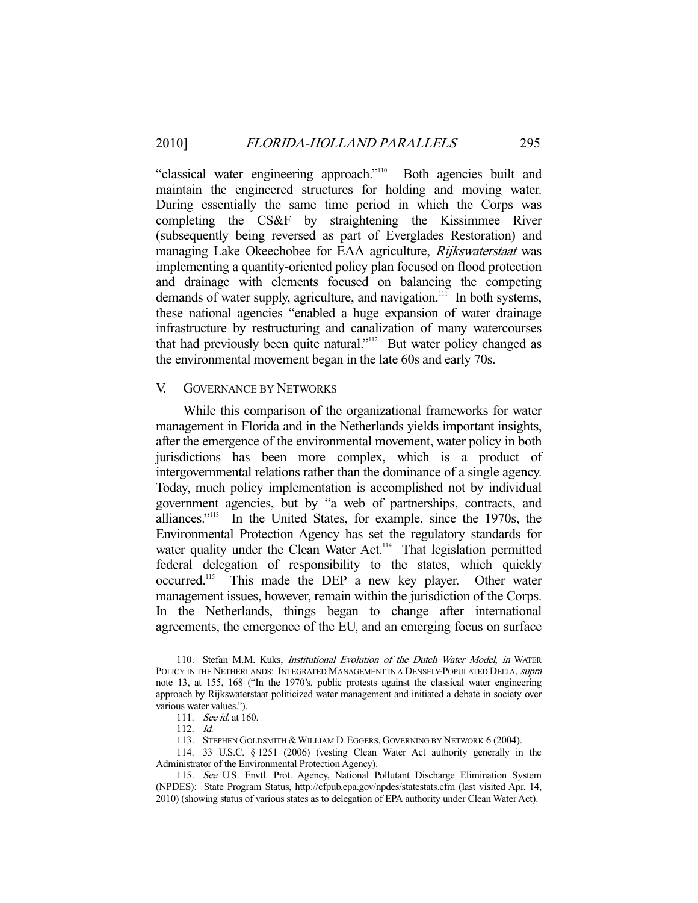"classical water engineering approach."<sup>110</sup> Both agencies built and maintain the engineered structures for holding and moving water. During essentially the same time period in which the Corps was completing the CS&F by straightening the Kissimmee River (subsequently being reversed as part of Everglades Restoration) and managing Lake Okeechobee for EAA agriculture, Rijkswaterstaat was implementing a quantity-oriented policy plan focused on flood protection and drainage with elements focused on balancing the competing demands of water supply, agriculture, and navigation.<sup>111</sup> In both systems, these national agencies "enabled a huge expansion of water drainage infrastructure by restructuring and canalization of many watercourses that had previously been quite natural."<sup>112</sup> But water policy changed as the environmental movement began in the late 60s and early 70s.

# V. GOVERNANCE BY NETWORKS

 While this comparison of the organizational frameworks for water management in Florida and in the Netherlands yields important insights, after the emergence of the environmental movement, water policy in both jurisdictions has been more complex, which is a product of intergovernmental relations rather than the dominance of a single agency. Today, much policy implementation is accomplished not by individual government agencies, but by "a web of partnerships, contracts, and alliances."113 In the United States, for example, since the 1970s, the Environmental Protection Agency has set the regulatory standards for water quality under the Clean Water Act.<sup>114</sup> That legislation permitted federal delegation of responsibility to the states, which quickly occurred.<sup>115</sup> This made the DEP a new key player. Other water management issues, however, remain within the jurisdiction of the Corps. In the Netherlands, things began to change after international agreements, the emergence of the EU, and an emerging focus on surface

<sup>110.</sup> Stefan M.M. Kuks, *Institutional Evolution of the Dutch Water Model*, *in* WATER POLICY IN THE NETHERLANDS: INTEGRATED MANAGEMENT IN A DENSELY-POPULATED DELTA, *supra* note 13, at 155, 168 ("In the 1970's, public protests against the classical water engineering approach by Rijkswaterstaat politicized water management and initiated a debate in society over various water values.").

 <sup>111.</sup> See id. at 160.

 <sup>112.</sup> Id.

<sup>113.</sup> STEPHEN GOLDSMITH & WILLIAM D. EGGERS, GOVERNING BY NETWORK 6 (2004).

 <sup>114. 33</sup> U.S.C. § 1251 (2006) (vesting Clean Water Act authority generally in the Administrator of the Environmental Protection Agency).

<sup>115.</sup> See U.S. Envtl. Prot. Agency, National Pollutant Discharge Elimination System (NPDES): State Program Status, http://cfpub.epa.gov/npdes/statestats.cfm (last visited Apr. 14, 2010) (showing status of various states as to delegation of EPA authority under Clean Water Act).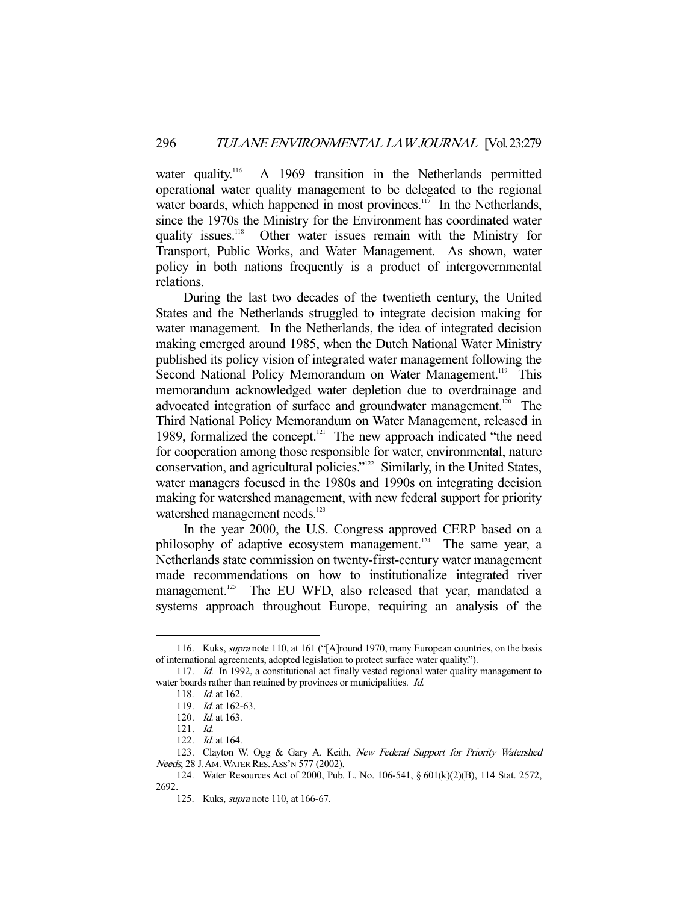water quality.<sup>116</sup> A 1969 transition in the Netherlands permitted operational water quality management to be delegated to the regional water boards, which happened in most provinces.<sup>117</sup> In the Netherlands, since the 1970s the Ministry for the Environment has coordinated water quality issues.<sup>118</sup> Other water issues remain with the Ministry for Transport, Public Works, and Water Management. As shown, water policy in both nations frequently is a product of intergovernmental relations.

 During the last two decades of the twentieth century, the United States and the Netherlands struggled to integrate decision making for water management. In the Netherlands, the idea of integrated decision making emerged around 1985, when the Dutch National Water Ministry published its policy vision of integrated water management following the Second National Policy Memorandum on Water Management.<sup>119</sup> This memorandum acknowledged water depletion due to overdrainage and advocated integration of surface and groundwater management.<sup>120</sup> The Third National Policy Memorandum on Water Management, released in 1989, formalized the concept.<sup>121</sup> The new approach indicated "the need for cooperation among those responsible for water, environmental, nature conservation, and agricultural policies."122 Similarly, in the United States, water managers focused in the 1980s and 1990s on integrating decision making for watershed management, with new federal support for priority watershed management needs.<sup>123</sup>

 In the year 2000, the U.S. Congress approved CERP based on a philosophy of adaptive ecosystem management.<sup>124</sup> The same year, a Netherlands state commission on twenty-first-century water management made recommendations on how to institutionalize integrated river management.<sup>125</sup> The EU WFD, also released that year, mandated a systems approach throughout Europe, requiring an analysis of the

<sup>116.</sup> Kuks, *supra* note 110, at 161 ("[A]round 1970, many European countries, on the basis of international agreements, adopted legislation to protect surface water quality.").

<sup>117.</sup> *Id.* In 1992, a constitutional act finally vested regional water quality management to water boards rather than retained by provinces or municipalities. Id.

 <sup>118.</sup> Id. at 162.

 <sup>119.</sup> Id. at 162-63.

 <sup>120.</sup> Id. at 163.

 <sup>121.</sup> Id.

 <sup>122.</sup> Id. at 164.

<sup>123.</sup> Clayton W. Ogg & Gary A. Keith, New Federal Support for Priority Watershed Needs, 28 J. AM. WATER RES. ASS'N 577 (2002).

 <sup>124.</sup> Water Resources Act of 2000, Pub. L. No. 106-541, § 601(k)(2)(B), 114 Stat. 2572, 2692.

 <sup>125.</sup> Kuks, supra note 110, at 166-67.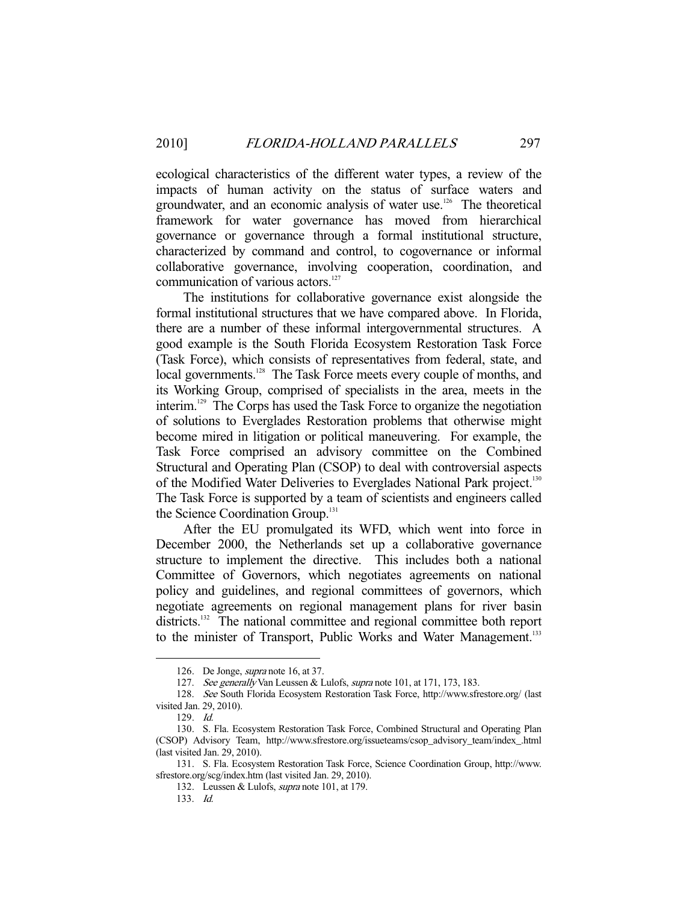ecological characteristics of the different water types, a review of the impacts of human activity on the status of surface waters and groundwater, and an economic analysis of water use.<sup>126</sup> The theoretical framework for water governance has moved from hierarchical governance or governance through a formal institutional structure, characterized by command and control, to cogovernance or informal collaborative governance, involving cooperation, coordination, and communication of various actors.<sup>127</sup>

 The institutions for collaborative governance exist alongside the formal institutional structures that we have compared above. In Florida, there are a number of these informal intergovernmental structures. A good example is the South Florida Ecosystem Restoration Task Force (Task Force), which consists of representatives from federal, state, and local governments.<sup>128</sup> The Task Force meets every couple of months, and its Working Group, comprised of specialists in the area, meets in the interim.129 The Corps has used the Task Force to organize the negotiation of solutions to Everglades Restoration problems that otherwise might become mired in litigation or political maneuvering. For example, the Task Force comprised an advisory committee on the Combined Structural and Operating Plan (CSOP) to deal with controversial aspects of the Modified Water Deliveries to Everglades National Park project.<sup>130</sup> The Task Force is supported by a team of scientists and engineers called the Science Coordination Group.<sup>131</sup>

 After the EU promulgated its WFD, which went into force in December 2000, the Netherlands set up a collaborative governance structure to implement the directive. This includes both a national Committee of Governors, which negotiates agreements on national policy and guidelines, and regional committees of governors, which negotiate agreements on regional management plans for river basin districts.<sup>132</sup> The national committee and regional committee both report to the minister of Transport, Public Works and Water Management.<sup>133</sup>

 <sup>126.</sup> De Jonge, supra note 16, at 37.

<sup>127.</sup> See generally Van Leussen & Lulofs, supra note 101, at 171, 173, 183.

 <sup>128.</sup> See South Florida Ecosystem Restoration Task Force, http://www.sfrestore.org/ (last visited Jan. 29, 2010).

 <sup>129.</sup> Id.

 <sup>130.</sup> S. Fla. Ecosystem Restoration Task Force, Combined Structural and Operating Plan (CSOP) Advisory Team, http://www.sfrestore.org/issueteams/csop\_advisory\_team/index\_.html (last visited Jan. 29, 2010).

 <sup>131.</sup> S. Fla. Ecosystem Restoration Task Force, Science Coordination Group, http://www. sfrestore.org/scg/index.htm (last visited Jan. 29, 2010).

 <sup>132.</sup> Leussen & Lulofs, supra note 101, at 179.

 <sup>133.</sup> Id.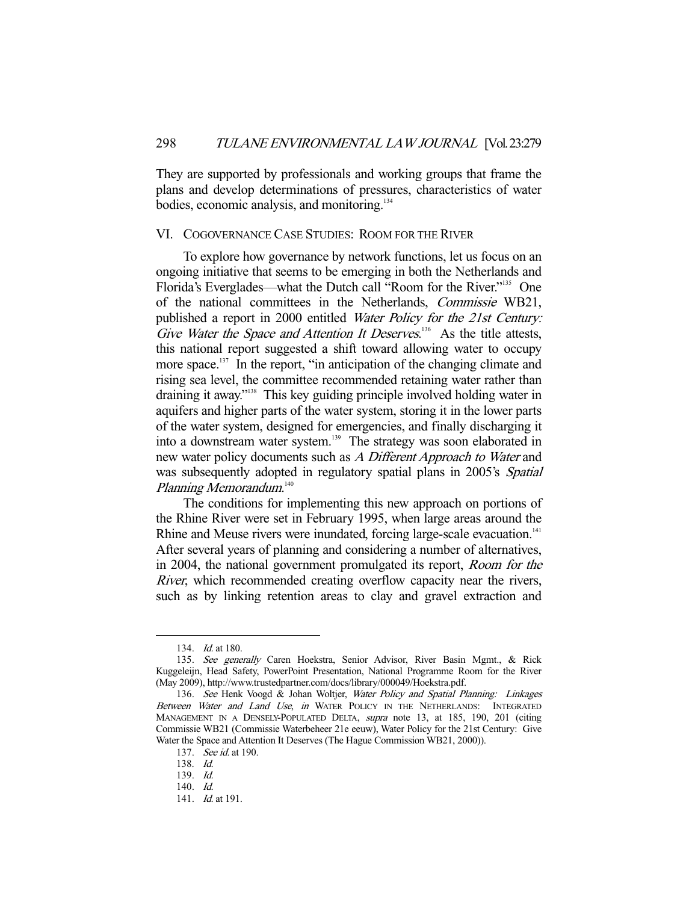They are supported by professionals and working groups that frame the plans and develop determinations of pressures, characteristics of water bodies, economic analysis, and monitoring.<sup>134</sup>

#### VI. COGOVERNANCE CASE STUDIES: ROOM FOR THE RIVER

 To explore how governance by network functions, let us focus on an ongoing initiative that seems to be emerging in both the Netherlands and Florida's Everglades—what the Dutch call "Room for the River."135 One of the national committees in the Netherlands, Commissie WB21, published a report in 2000 entitled Water Policy for the 21st Century: Give Water the Space and Attention It Deserves.<sup>136</sup> As the title attests, this national report suggested a shift toward allowing water to occupy more space.<sup>137</sup> In the report, "in anticipation of the changing climate and rising sea level, the committee recommended retaining water rather than draining it away."138 This key guiding principle involved holding water in aquifers and higher parts of the water system, storing it in the lower parts of the water system, designed for emergencies, and finally discharging it into a downstream water system.<sup>139</sup> The strategy was soon elaborated in new water policy documents such as A Different Approach to Water and was subsequently adopted in regulatory spatial plans in 2005's Spatial Planning Memorandum. 140

 The conditions for implementing this new approach on portions of the Rhine River were set in February 1995, when large areas around the Rhine and Meuse rivers were inundated, forcing large-scale evacuation.<sup>141</sup> After several years of planning and considering a number of alternatives, in 2004, the national government promulgated its report, Room for the *River*, which recommended creating overflow capacity near the rivers, such as by linking retention areas to clay and gravel extraction and

<sup>134.</sup> *Id.* at 180.

<sup>135.</sup> See generally Caren Hoekstra, Senior Advisor, River Basin Mgmt., & Rick Kuggeleijn, Head Safety, PowerPoint Presentation, National Programme Room for the River (May 2009), http://www.trustedpartner.com/docs/library/000049/Hoekstra.pdf.

<sup>136.</sup> See Henk Voogd & Johan Woltjer, Water Policy and Spatial Planning: Linkages Between Water and Land Use, in WATER POLICY IN THE NETHERLANDS: INTEGRATED MANAGEMENT IN A DENSELY-POPULATED DELTA, supra note 13, at 185, 190, 201 (citing Commissie WB21 (Commissie Waterbeheer 21e eeuw), Water Policy for the 21st Century: Give Water the Space and Attention It Deserves (The Hague Commission WB21, 2000)).

<sup>137.</sup> *See id.* at 190.

 <sup>138.</sup> Id.

 <sup>139.</sup> Id.

 <sup>140.</sup> Id.

<sup>141.</sup> *Id.* at 191.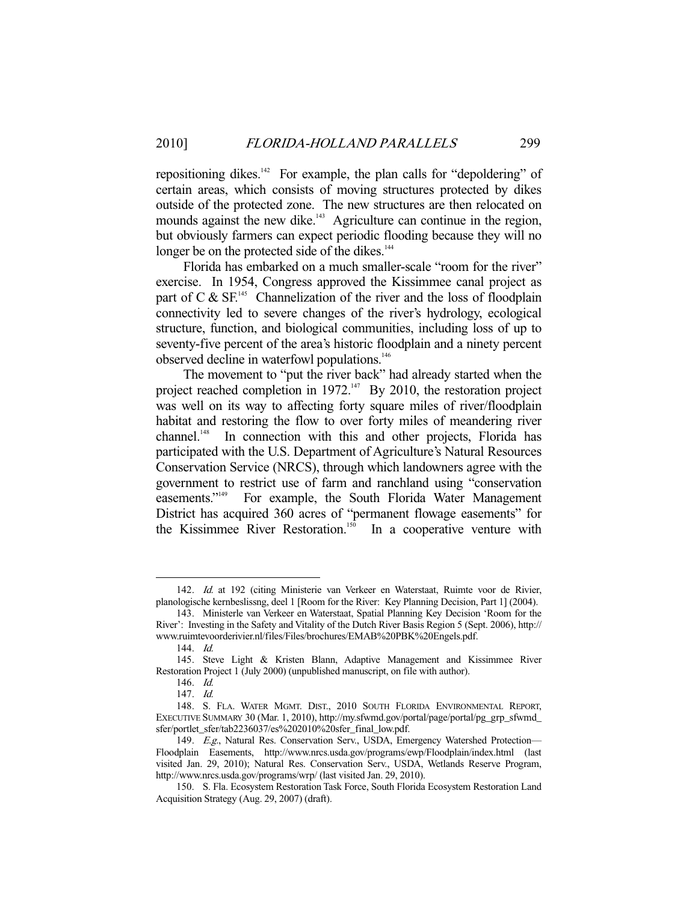repositioning dikes.<sup>142</sup> For example, the plan calls for "depoldering" of certain areas, which consists of moving structures protected by dikes outside of the protected zone. The new structures are then relocated on mounds against the new dike.<sup>143</sup> Agriculture can continue in the region, but obviously farmers can expect periodic flooding because they will no longer be on the protected side of the dikes.<sup>144</sup>

 Florida has embarked on a much smaller-scale "room for the river" exercise. In 1954, Congress approved the Kissimmee canal project as part of C  $\&$  SF.<sup>145</sup> Channelization of the river and the loss of floodplain connectivity led to severe changes of the river's hydrology, ecological structure, function, and biological communities, including loss of up to seventy-five percent of the area's historic floodplain and a ninety percent observed decline in waterfowl populations.<sup>146</sup>

 The movement to "put the river back" had already started when the project reached completion in  $1972$ .<sup>147</sup> By 2010, the restoration project was well on its way to affecting forty square miles of river/floodplain habitat and restoring the flow to over forty miles of meandering river channel.<sup>148</sup> In connection with this and other projects, Florida has participated with the U.S. Department of Agriculture's Natural Resources Conservation Service (NRCS), through which landowners agree with the government to restrict use of farm and ranchland using "conservation easements."<sup>149</sup> For example, the South Florida Water Management District has acquired 360 acres of "permanent flowage easements" for the Kissimmee River Restoration.<sup>150</sup> In a cooperative venture with

 <sup>142.</sup> Id. at 192 (citing Ministerie van Verkeer en Waterstaat, Ruimte voor de Rivier, planologische kernbeslissng, deel 1 [Room for the River: Key Planning Decision, Part 1] (2004).

 <sup>143.</sup> Ministerle van Verkeer en Waterstaat, Spatial Planning Key Decision 'Room for the River': Investing in the Safety and Vitality of the Dutch River Basis Region 5 (Sept. 2006), http:// www.ruimtevoorderivier.nl/files/Files/brochures/EMAB%20PBK%20Engels.pdf.

 <sup>144.</sup> Id.

 <sup>145.</sup> Steve Light & Kristen Blann, Adaptive Management and Kissimmee River Restoration Project 1 (July 2000) (unpublished manuscript, on file with author).

 <sup>146.</sup> Id.

 <sup>147.</sup> Id.

 <sup>148.</sup> S. FLA. WATER MGMT. DIST., 2010 SOUTH FLORIDA ENVIRONMENTAL REPORT, EXECUTIVE SUMMARY 30 (Mar. 1, 2010), http://my.sfwmd.gov/portal/page/portal/pg\_grp\_sfwmd\_ sfer/portlet\_sfer/tab2236037/es%202010%20sfer\_final\_low.pdf.

<sup>149.</sup> E.g., Natural Res. Conservation Serv., USDA, Emergency Watershed Protection-Floodplain Easements, http://www.nrcs.usda.gov/programs/ewp/Floodplain/index.html (last visited Jan. 29, 2010); Natural Res. Conservation Serv., USDA, Wetlands Reserve Program, http://www.nrcs.usda.gov/programs/wrp/ (last visited Jan. 29, 2010).

 <sup>150.</sup> S. Fla. Ecosystem Restoration Task Force, South Florida Ecosystem Restoration Land Acquisition Strategy (Aug. 29, 2007) (draft).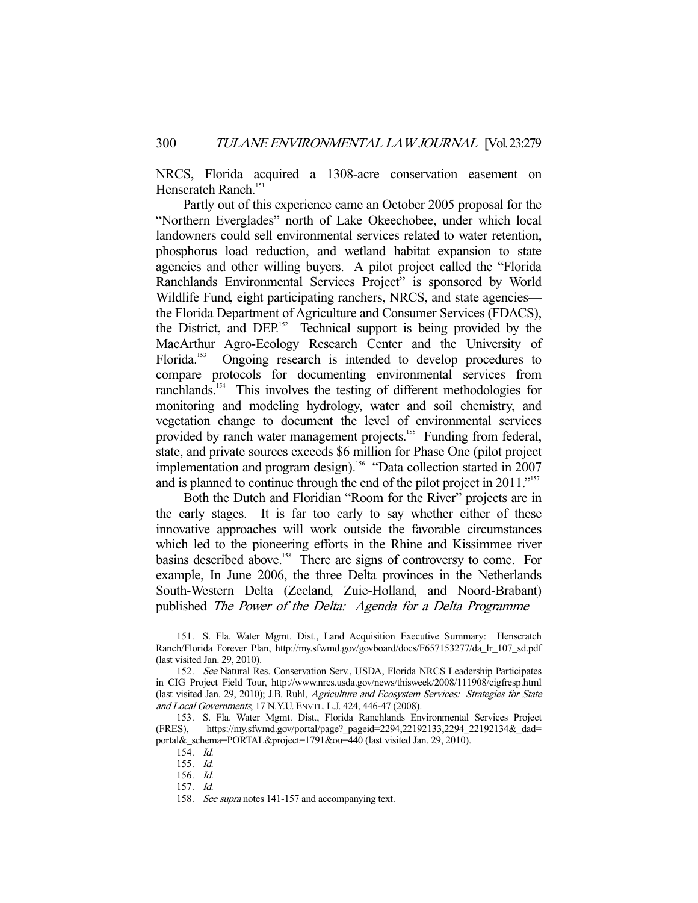NRCS, Florida acquired a 1308-acre conservation easement on Henscratch Ranch.<sup>151</sup>

 Partly out of this experience came an October 2005 proposal for the "Northern Everglades" north of Lake Okeechobee, under which local landowners could sell environmental services related to water retention, phosphorus load reduction, and wetland habitat expansion to state agencies and other willing buyers. A pilot project called the "Florida Ranchlands Environmental Services Project" is sponsored by World Wildlife Fund, eight participating ranchers, NRCS, and state agencies the Florida Department of Agriculture and Consumer Services (FDACS), the District, and DEP.152 Technical support is being provided by the MacArthur Agro-Ecology Research Center and the University of Florida.<sup>153</sup> Ongoing research is intended to develop procedures to compare protocols for documenting environmental services from ranchlands.154 This involves the testing of different methodologies for monitoring and modeling hydrology, water and soil chemistry, and vegetation change to document the level of environmental services provided by ranch water management projects.<sup>155</sup> Funding from federal, state, and private sources exceeds \$6 million for Phase One (pilot project implementation and program design).<sup>156</sup> "Data collection started in 2007 and is planned to continue through the end of the pilot project in 2011."<sup>157</sup>

 Both the Dutch and Floridian "Room for the River" projects are in the early stages. It is far too early to say whether either of these innovative approaches will work outside the favorable circumstances which led to the pioneering efforts in the Rhine and Kissimmee river basins described above.<sup>158</sup> There are signs of controversy to come. For example, In June 2006, the three Delta provinces in the Netherlands South-Western Delta (Zeeland, Zuie-Holland, and Noord-Brabant) published The Power of the Delta: Agenda for a Delta Programme—

 <sup>151.</sup> S. Fla. Water Mgmt. Dist., Land Acquisition Executive Summary: Henscratch Ranch/Florida Forever Plan, http://my.sfwmd.gov/govboard/docs/F657153277/da\_lr\_107\_sd.pdf (last visited Jan. 29, 2010).

 <sup>152.</sup> See Natural Res. Conservation Serv., USDA, Florida NRCS Leadership Participates in CIG Project Field Tour, http://www.nrcs.usda.gov/news/thisweek/2008/111908/cigfresp.html (last visited Jan. 29, 2010); J.B. Ruhl, Agriculture and Ecosystem Services: Strategies for State and Local Governments, 17 N.Y.U. ENVTL. L.J. 424, 446-47 (2008).

 <sup>153.</sup> S. Fla. Water Mgmt. Dist., Florida Ranchlands Environmental Services Project (FRES), https://my.sfwmd.gov/portal/page?\_pageid=2294,22192133,2294\_22192134&\_dad= portal&\_schema=PORTAL&project=1791&ou=440 (last visited Jan. 29, 2010).

 <sup>154.</sup> Id.

 <sup>155.</sup> Id.

 <sup>156.</sup> Id.

 <sup>157.</sup> Id.

<sup>158.</sup> See supra notes 141-157 and accompanying text.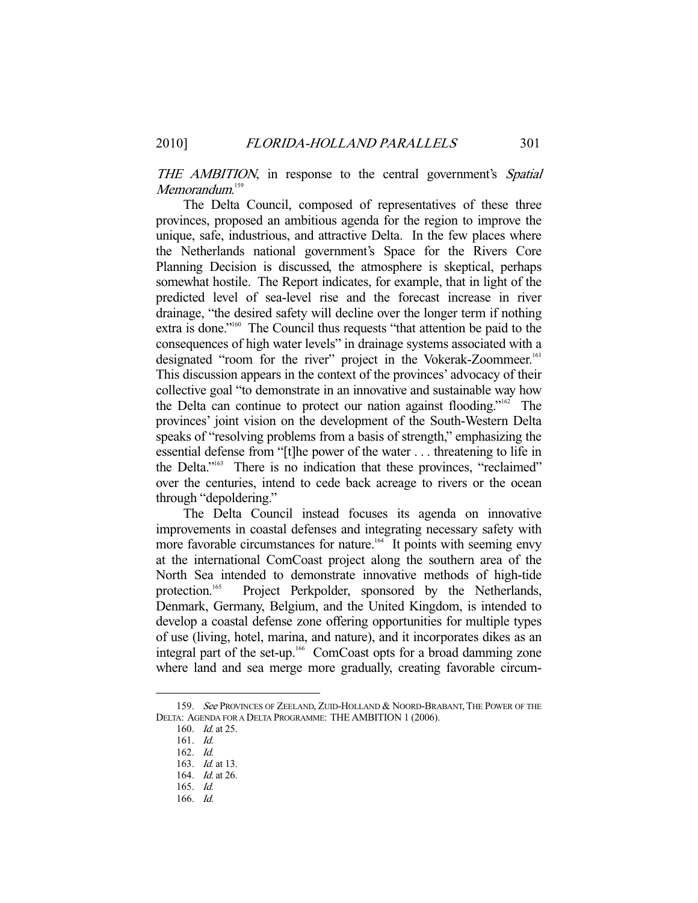THE AMBITION, in response to the central government's Spatial Memorandum. 159

 The Delta Council, composed of representatives of these three provinces, proposed an ambitious agenda for the region to improve the unique, safe, industrious, and attractive Delta. In the few places where the Netherlands national government's Space for the Rivers Core Planning Decision is discussed, the atmosphere is skeptical, perhaps somewhat hostile. The Report indicates, for example, that in light of the predicted level of sea-level rise and the forecast increase in river drainage, "the desired safety will decline over the longer term if nothing extra is done."160 The Council thus requests "that attention be paid to the consequences of high water levels" in drainage systems associated with a designated "room for the river" project in the Vokerak-Zoommeer.<sup>161</sup> This discussion appears in the context of the provinces' advocacy of their collective goal "to demonstrate in an innovative and sustainable way how the Delta can continue to protect our nation against flooding."162 The provinces' joint vision on the development of the South-Western Delta speaks of "resolving problems from a basis of strength," emphasizing the essential defense from "[t]he power of the water . . . threatening to life in the Delta."163 There is no indication that these provinces, "reclaimed" over the centuries, intend to cede back acreage to rivers or the ocean through "depoldering."

 The Delta Council instead focuses its agenda on innovative improvements in coastal defenses and integrating necessary safety with more favorable circumstances for nature.<sup>164</sup> It points with seeming envy at the international ComCoast project along the southern area of the North Sea intended to demonstrate innovative methods of high-tide protection.<sup>165</sup> Project Perkpolder, sponsored by the Netherlands, Denmark, Germany, Belgium, and the United Kingdom, is intended to develop a coastal defense zone offering opportunities for multiple types of use (living, hotel, marina, and nature), and it incorporates dikes as an integral part of the set-up.<sup>166</sup> ComCoast opts for a broad damming zone where land and sea merge more gradually, creating favorable circum-

<sup>159.</sup> See PROVINCES OF ZEELAND, ZUID-HOLLAND & NOORD-BRABANT, THE POWER OF THE DELTA: AGENDA FOR A DELTA PROGRAMME: THE AMBITION 1 (2006).

<sup>160.</sup> *Id.* at 25.

 <sup>161.</sup> Id.

 <sup>162.</sup> Id.

<sup>163.</sup> *Id.* at 13.

<sup>164.</sup> *Id.* at 26.

 <sup>165.</sup> Id.

 <sup>166.</sup> Id.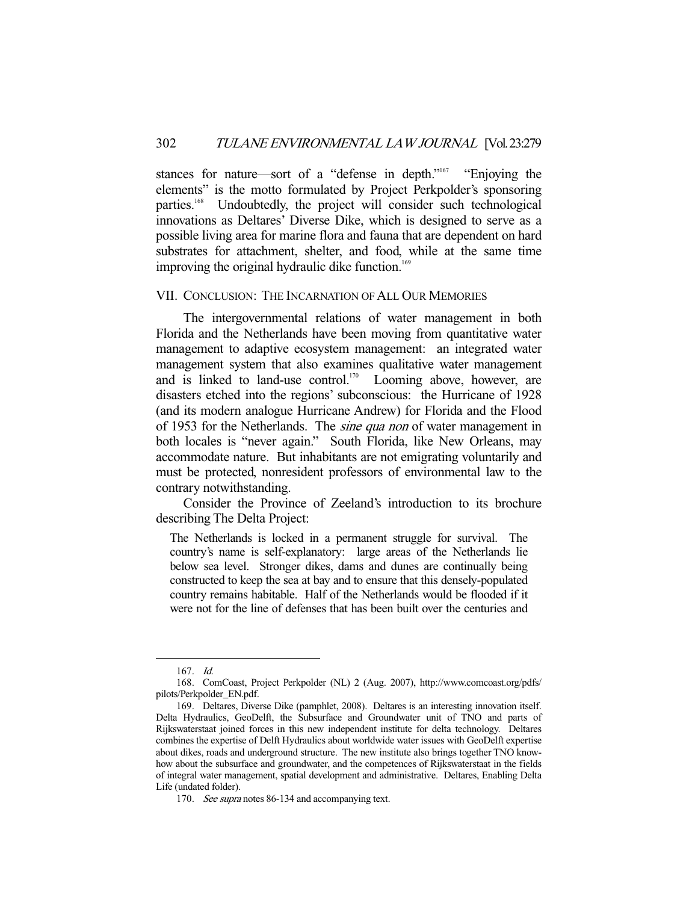stances for nature—sort of a "defense in depth."<sup>167</sup> "Enjoying the elements" is the motto formulated by Project Perkpolder's sponsoring parties.<sup>168</sup> Undoubtedly, the project will consider such technological innovations as Deltares' Diverse Dike, which is designed to serve as a possible living area for marine flora and fauna that are dependent on hard substrates for attachment, shelter, and food, while at the same time improving the original hydraulic dike function.<sup>169</sup>

# VII. CONCLUSION: THE INCARNATION OF ALL OUR MEMORIES

 The intergovernmental relations of water management in both Florida and the Netherlands have been moving from quantitative water management to adaptive ecosystem management: an integrated water management system that also examines qualitative water management and is linked to land-use control.<sup>170</sup> Looming above, however, are disasters etched into the regions' subconscious: the Hurricane of 1928 (and its modern analogue Hurricane Andrew) for Florida and the Flood of 1953 for the Netherlands. The *sine qua non* of water management in both locales is "never again." South Florida, like New Orleans, may accommodate nature. But inhabitants are not emigrating voluntarily and must be protected, nonresident professors of environmental law to the contrary notwithstanding.

 Consider the Province of Zeeland's introduction to its brochure describing The Delta Project:

The Netherlands is locked in a permanent struggle for survival. The country's name is self-explanatory: large areas of the Netherlands lie below sea level. Stronger dikes, dams and dunes are continually being constructed to keep the sea at bay and to ensure that this densely-populated country remains habitable. Half of the Netherlands would be flooded if it were not for the line of defenses that has been built over the centuries and

 <sup>167.</sup> Id.

 <sup>168.</sup> ComCoast, Project Perkpolder (NL) 2 (Aug. 2007), http://www.comcoast.org/pdfs/ pilots/Perkpolder\_EN.pdf.

 <sup>169.</sup> Deltares, Diverse Dike (pamphlet, 2008). Deltares is an interesting innovation itself. Delta Hydraulics, GeoDelft, the Subsurface and Groundwater unit of TNO and parts of Rijkswaterstaat joined forces in this new independent institute for delta technology. Deltares combines the expertise of Delft Hydraulics about worldwide water issues with GeoDelft expertise about dikes, roads and underground structure. The new institute also brings together TNO knowhow about the subsurface and groundwater, and the competences of Rijkswaterstaat in the fields of integral water management, spatial development and administrative. Deltares, Enabling Delta Life (undated folder).

<sup>170.</sup> See supra notes 86-134 and accompanying text.